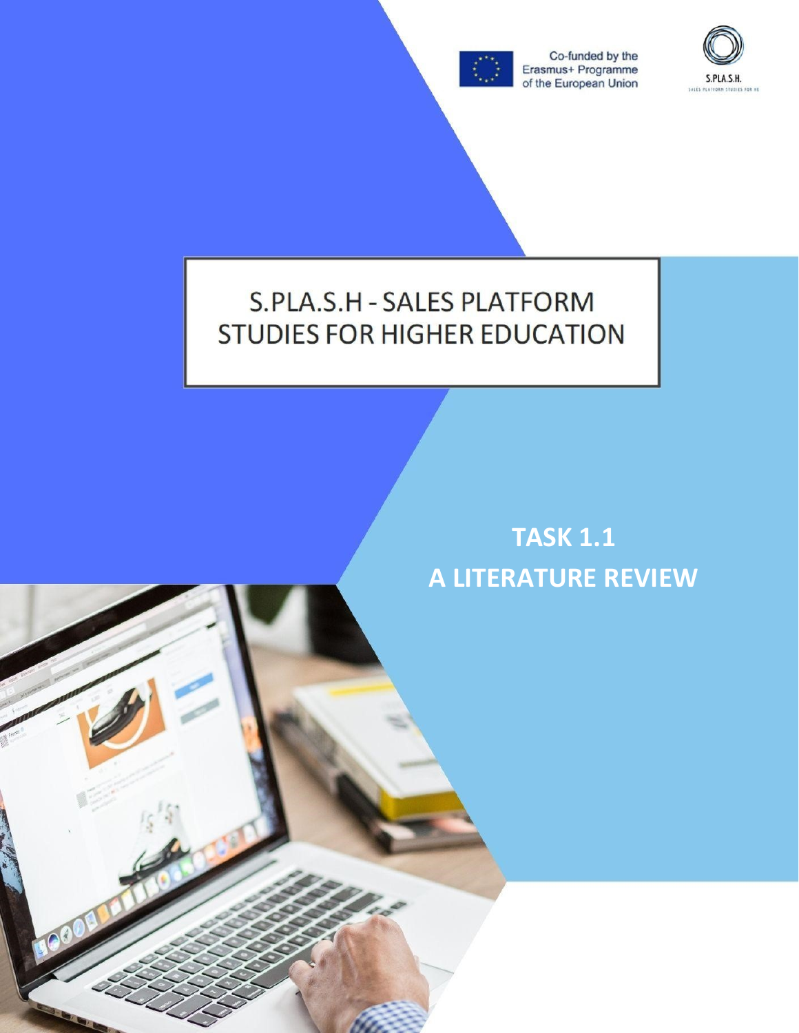

Co-funded by the Erasmus+ Programme<br>of the European Union



# S.PLA.S.H - SALES PLATFORM **STUDIES FOR HIGHER EDUCATION**

# **TASK 1.1 A LITERATURE REVIEW**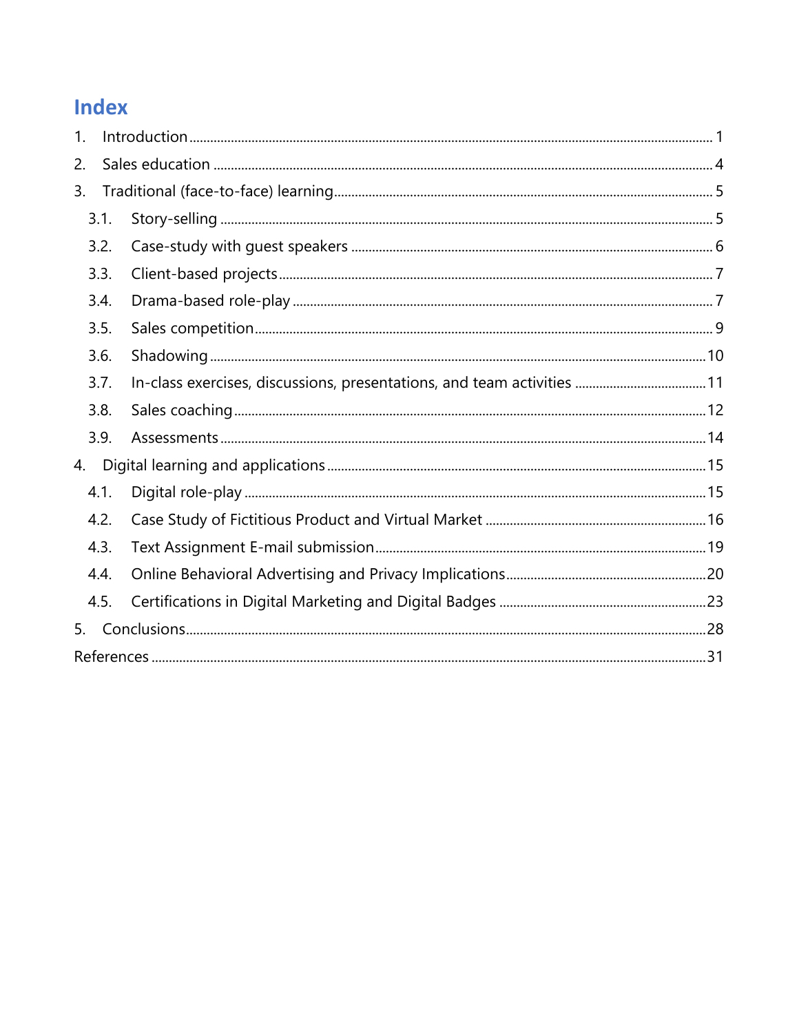## Index

| 1. |      |  |  |  |  |  |  |
|----|------|--|--|--|--|--|--|
| 2. |      |  |  |  |  |  |  |
| 3. |      |  |  |  |  |  |  |
|    | 3.1. |  |  |  |  |  |  |
|    | 3.2. |  |  |  |  |  |  |
|    | 3.3. |  |  |  |  |  |  |
|    | 3.4. |  |  |  |  |  |  |
|    | 3.5. |  |  |  |  |  |  |
|    | 3.6. |  |  |  |  |  |  |
|    | 3.7. |  |  |  |  |  |  |
|    | 3.8. |  |  |  |  |  |  |
|    | 3.9. |  |  |  |  |  |  |
| 4. |      |  |  |  |  |  |  |
|    | 4.1. |  |  |  |  |  |  |
|    | 4.2. |  |  |  |  |  |  |
|    | 4.3. |  |  |  |  |  |  |
|    | 4.4. |  |  |  |  |  |  |
|    | 4.5. |  |  |  |  |  |  |
| 5. |      |  |  |  |  |  |  |
|    |      |  |  |  |  |  |  |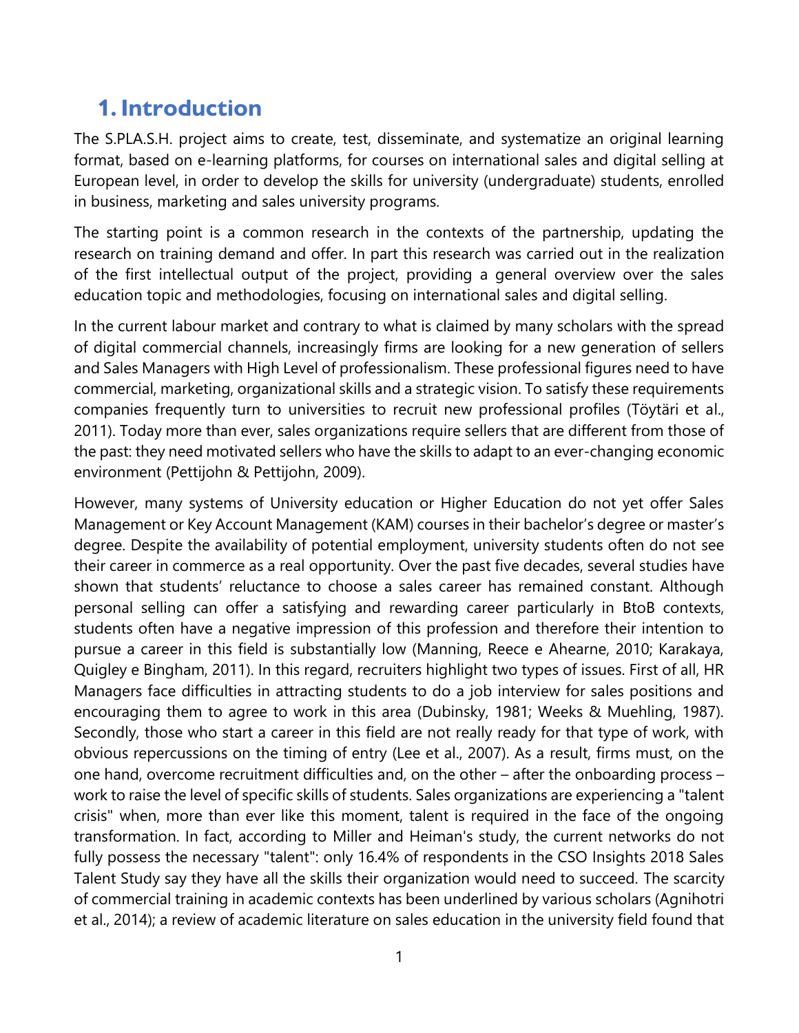## <span id="page-4-0"></span>**1. Introduction**

The S.PLA.S.H. project aims to create, test, disseminate, and systematize an original learning format, based on e-learning platforms, for courses on international sales and digital selling at European level, in order to develop the skills for university (undergraduate) students, enrolled in business, marketing and sales university programs.

The starting point is a common research in the contexts of the partnership, updating the research on training demand and offer. In part this research was carried out in the realization of the first intellectual output of the project, providing a general overview over the sales education topic and methodologies, focusing on international sales and digital selling.

In the current labour market and contrary to what is claimed by many scholars with the spread of digital commercial channels, increasingly firms are looking for a new generation of sellers and Sales Managers with High Level of professionalism. These professional figures need to have commercial, marketing, organizational skills and a strategic vision. To satisfy these requirements companies frequently turn to universities to recruit new professional profiles (Töytäri et al., 2011). Today more than ever, sales organizations require sellers that are different from those of the past: they need motivated sellers who have the skills to adapt to an ever-changing economic environment (Pettijohn & Pettijohn, 2009).

However, many systems of University education or Higher Education do not yet offer Sales Management or Key Account Management (KAM) courses in their bachelor's degree or master's degree. Despite the availability of potential employment, university students often do not see their career in commerce as a real opportunity. Over the past five decades, several studies have shown that students' reluctance to choose a sales career has remained constant. Although personal selling can offer a satisfying and rewarding career particularly in BtoB contexts, students often have a negative impression of this profession and therefore their intention to pursue a career in this field is substantially low (Manning, Reece e Ahearne, 2010; Karakaya, Quigley e Bingham, 2011). In this regard, recruiters highlight two types of issues. First of all, HR Managers face difficulties in attracting students to do a job interview for sales positions and encouraging them to agree to work in this area (Dubinsky, 1981; Weeks & Muehling, 1987). Secondly, those who start a career in this field are not really ready for that type of work, with obvious repercussions on the timing of entry (Lee et al., 2007). As a result, firms must, on the one hand, overcome recruitment difficulties and, on the other – after the onboarding process – work to raise the level of specific skills of students. Sales organizations are experiencing a "talent crisis" when, more than ever like this moment, talent is required in the face of the ongoing transformation. In fact, according to Miller and Heiman's study, the current networks do not fully possess the necessary "talent": only 16.4% of respondents in the CSO Insights 2018 Sales Talent Study say they have all the skills their organization would need to succeed. The scarcity of commercial training in academic contexts has been underlined by various scholars (Agnihotri et al., 2014); a review of academic literature on sales education in the university field found that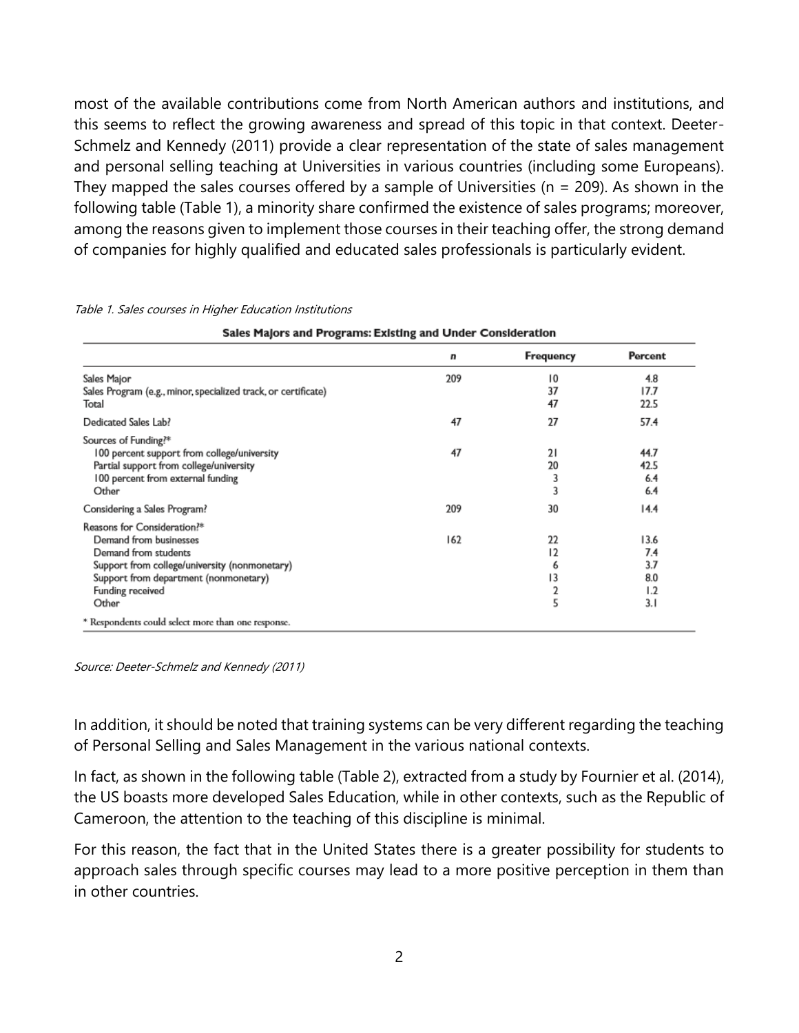most of the available contributions come from North American authors and institutions, and this seems to reflect the growing awareness and spread of this topic in that context. Deeter-Schmelz and Kennedy (2011) provide a clear representation of the state of sales management and personal selling teaching at Universities in various countries (including some Europeans). They mapped the sales courses offered by a sample of Universities ( $n = 209$ ). As shown in the following table (Table 1), a minority share confirmed the existence of sales programs; moreover, among the reasons given to implement those courses in their teaching offer, the strong demand of companies for highly qualified and educated sales professionals is particularly evident.

|                                                                | n   | <b>Frequency</b> | Percent |
|----------------------------------------------------------------|-----|------------------|---------|
| Sales Major                                                    | 209 | 10               | 4.8     |
| Sales Program (e.g., minor, specialized track, or certificate) |     | 37               | 17.7    |
| Total                                                          |     | 47               | 22.5    |
| Dedicated Sales Lab?                                           | 47  | 27               | 57.4    |
| Sources of Funding?*                                           |     |                  |         |
| 100 percent support from college/university                    | 47  | 21               | 44.7    |
| Partial support from college/university                        |     | 20               | 42.5    |
| 100 percent from external funding                              |     | 3                | 6.4     |
| Other                                                          |     | 3                | 6.4     |
| Considering a Sales Program?                                   | 209 | 30               | 14.4    |
| Reasons for Consideration?*                                    |     |                  |         |
| Demand from businesses                                         | 162 | 22               | 13.6    |
| Demand from students                                           |     | 12               | 7.4     |
| Support from college/university (nonmonetary)                  |     | 6                | 3.7     |
| Support from department (nonmonetary)                          |     | 13               | 8.0     |
| Funding received                                               |     | 2                | 1.2     |
| Other                                                          |     | 5                | 3.1     |
| * Respondents could select more than one response.             |     |                  |         |

Table 1. Sales courses in Higher Education Institutions

Sales Malors and Programs: Existing and Under Consideration

Source: Deeter-Schmelz and Kennedy (2011)

In addition, it should be noted that training systems can be very different regarding the teaching of Personal Selling and Sales Management in the various national contexts.

In fact, as shown in the following table (Table 2), extracted from a study by Fournier et al. (2014), the US boasts more developed Sales Education, while in other contexts, such as the Republic of Cameroon, the attention to the teaching of this discipline is minimal.

For this reason, the fact that in the United States there is a greater possibility for students to approach sales through specific courses may lead to a more positive perception in them than in other countries.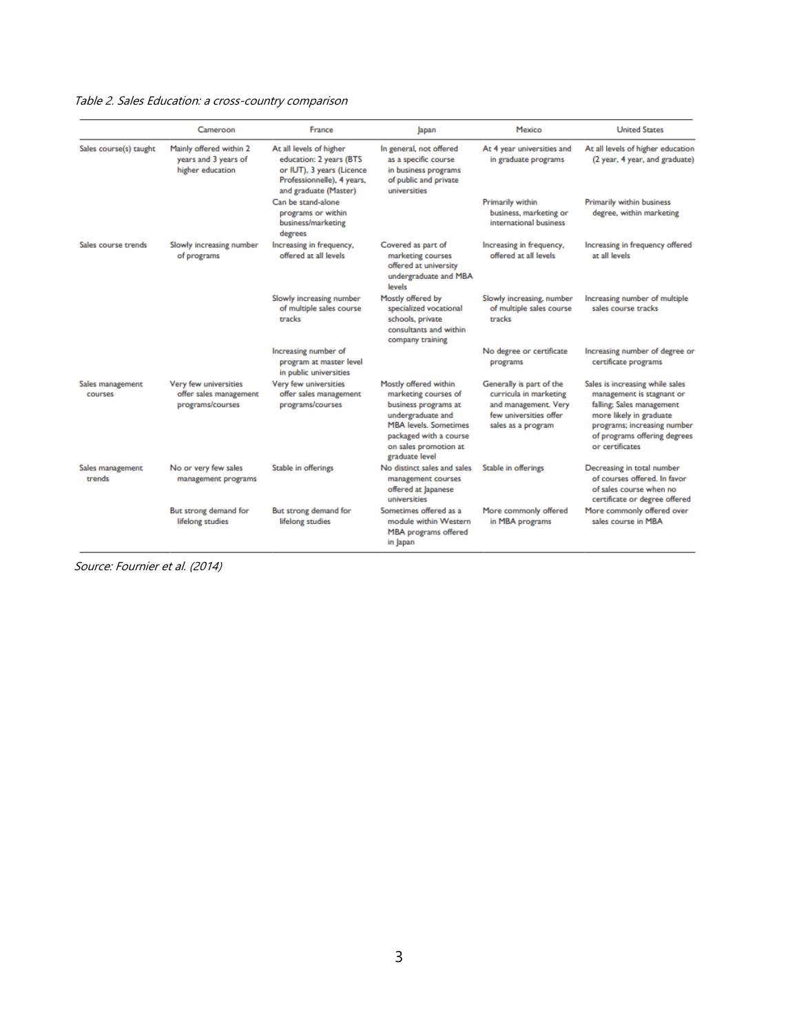#### Table 2. Sales Education: a cross-country comparison

|                             | Cameroon                                                            | France                                                                                                                                 | Japan                                                                                                                                                                                           | Mexico                                                                                                                     | <b>United States</b>                                                                                                                                                                                   |
|-----------------------------|---------------------------------------------------------------------|----------------------------------------------------------------------------------------------------------------------------------------|-------------------------------------------------------------------------------------------------------------------------------------------------------------------------------------------------|----------------------------------------------------------------------------------------------------------------------------|--------------------------------------------------------------------------------------------------------------------------------------------------------------------------------------------------------|
| Sales course(s) taught      | Mainly offered within 2<br>years and 3 years of<br>higher education | At all levels of higher<br>education: 2 years (BTS<br>or IUT), 3 years (Licence<br>Professionnelle), 4 years,<br>and graduate (Master) | In general, not offered<br>as a specific course<br>in business programs<br>of public and private<br>universities                                                                                | At 4 year universities and<br>in graduate programs                                                                         | At all levels of higher education<br>(2 year, 4 year, and graduate)                                                                                                                                    |
|                             |                                                                     | Can be stand-alone<br>programs or within<br>business/marketing<br>degrees                                                              |                                                                                                                                                                                                 | Primarily within<br>business, marketing or<br>international business                                                       | Primarily within business<br>degree, within marketing                                                                                                                                                  |
| Sales course trends         | Slowly increasing number<br>of programs                             | Increasing in frequency,<br>offered at all levels                                                                                      | Covered as part of<br>marketing courses<br>offered at university<br>undergraduate and MBA<br>levels                                                                                             | Increasing in frequency,<br>offered at all levels                                                                          | Increasing in frequency offered<br>at all levels                                                                                                                                                       |
|                             |                                                                     | Slowly increasing number<br>of multiple sales course<br>tracks                                                                         | Mostly offered by<br>specialized vocational<br>schools, private<br>consultants and within<br>company training                                                                                   | Slowly increasing, number<br>of multiple sales course<br>tracks                                                            | Increasing number of multiple<br>sales course tracks                                                                                                                                                   |
|                             |                                                                     | Increasing number of<br>program at master level<br>in public universities                                                              |                                                                                                                                                                                                 | No degree or certificate<br>programs                                                                                       | Increasing number of degree or<br>certificate programs                                                                                                                                                 |
| Sales management<br>courses | Very few universities<br>offer sales management<br>programs/courses | Very few universities<br>offer sales management<br>programs/courses                                                                    | Mostly offered within<br>marketing courses of<br>business programs at<br>undergraduate and<br><b>MBA levels. Sometimes</b><br>packaged with a course<br>on sales promotion at<br>graduate level | Generally is part of the<br>curricula in marketing<br>and management. Very<br>few universities offer<br>sales as a program | Sales is increasing while sales<br>management is stagnant or<br>falling; Sales management<br>more likely in graduate<br>programs; increasing number<br>of programs offering degrees<br>or certificates |
| Sales management<br>trends  | No or very few sales<br>management programs                         | Stable in offerings                                                                                                                    | No distinct sales and sales<br>management courses<br>offered at Japanese<br>universities                                                                                                        | Stable in offerings                                                                                                        | Decreasing in total number<br>of courses offered. In favor<br>of sales course when no<br>certificate or degree offered                                                                                 |
|                             | But strong demand for<br>lifelong studies                           | But strong demand for<br>lifelong studies                                                                                              | Sometimes offered as a<br>module within Western<br>MBA programs offered<br>in Japan                                                                                                             | More commonly offered<br>in MBA programs                                                                                   | More commonly offered over<br>sales course in MBA                                                                                                                                                      |

Source: Fournier et al. (2014)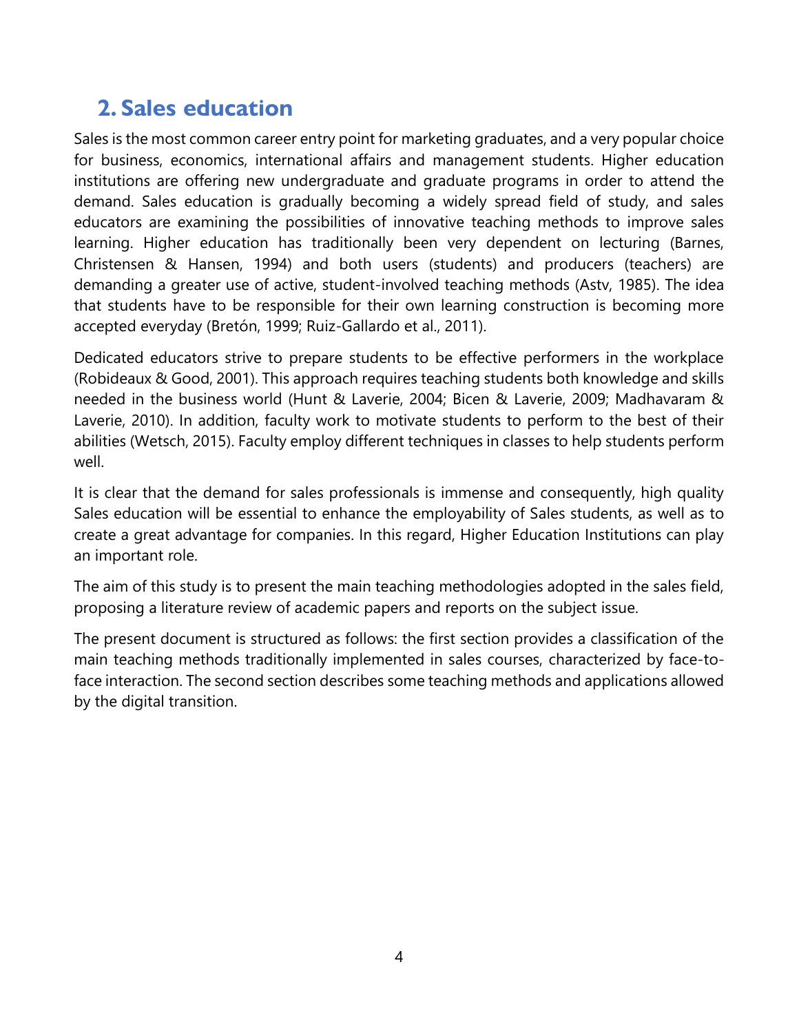## <span id="page-7-0"></span>**2. Sales education**

Sales is the most common career entry point for marketing graduates, and a very popular choice for business, economics, international affairs and management students. Higher education institutions are offering new undergraduate and graduate programs in order to attend the demand. Sales education is gradually becoming a widely spread field of study, and sales educators are examining the possibilities of innovative teaching methods to improve sales learning. Higher education has traditionally been very dependent on lecturing (Barnes, Christensen & Hansen, 1994) and both users (students) and producers (teachers) are demanding a greater use of active, student-involved teaching methods (Astv, 1985). The idea that students have to be responsible for their own learning construction is becoming more accepted everyday (Bretón, 1999; Ruiz-Gallardo et al., 2011).

Dedicated educators strive to prepare students to be effective performers in the workplace (Robideaux & Good, 2001). This approach requires teaching students both knowledge and skills needed in the business world (Hunt & Laverie, 2004; Bicen & Laverie, 2009; Madhavaram & Laverie, 2010). In addition, faculty work to motivate students to perform to the best of their abilities (Wetsch, 2015). Faculty employ different techniques in classes to help students perform well.

It is clear that the demand for sales professionals is immense and consequently, high quality Sales education will be essential to enhance the employability of Sales students, as well as to create a great advantage for companies. In this regard, Higher Education Institutions can play an important role.

The aim of this study is to present the main teaching methodologies adopted in the sales field, proposing a literature review of academic papers and reports on the subject issue.

The present document is structured as follows: the first section provides a classification of the main teaching methods traditionally implemented in sales courses, characterized by face-toface interaction. The second section describes some teaching methods and applications allowed by the digital transition.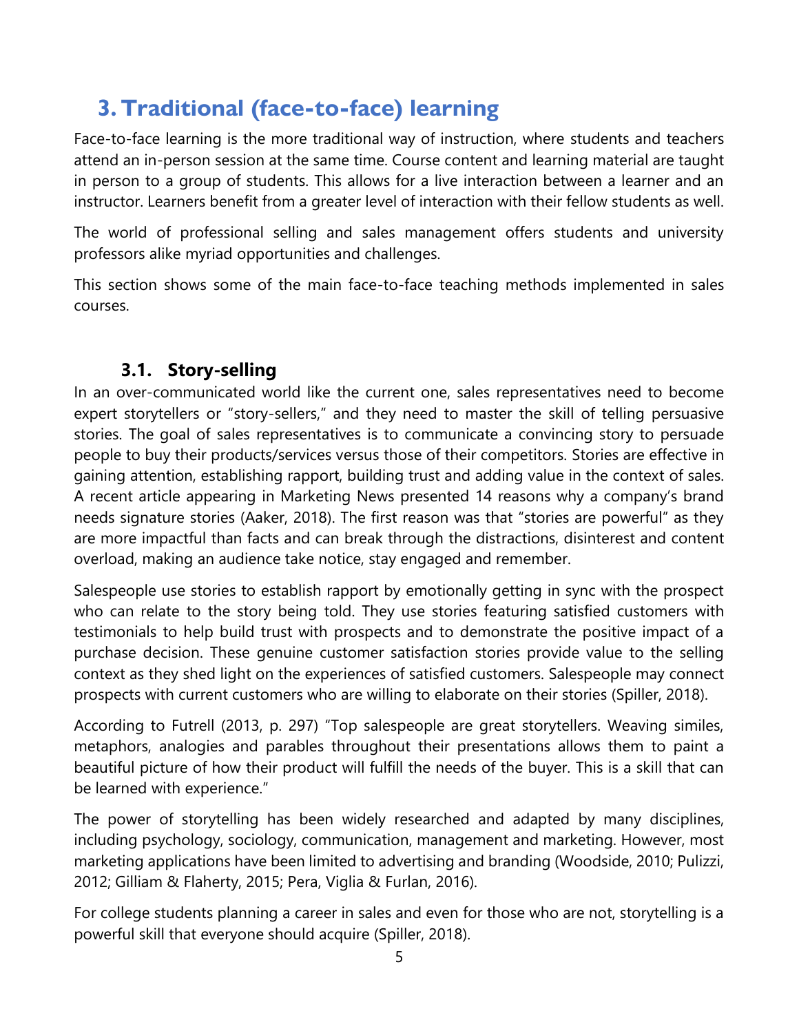## <span id="page-8-0"></span>**3.Traditional (face-to-face) learning**

Face-to-face learning is the more traditional way of instruction, where students and teachers attend an in-person session at the same time. Course content and learning material are taught in person to a group of students. This allows for a live interaction between a learner and an instructor. Learners benefit from a greater level of interaction with their fellow students as well.

The world of professional selling and sales management offers students and university professors alike myriad opportunities and challenges.

This section shows some of the main face-to-face teaching methods implemented in sales courses.

#### **3.1. Story-selling**

<span id="page-8-1"></span>In an over-communicated world like the current one, sales representatives need to become expert storytellers or "story-sellers," and they need to master the skill of telling persuasive stories. The goal of sales representatives is to communicate a convincing story to persuade people to buy their products/services versus those of their competitors. Stories are effective in gaining attention, establishing rapport, building trust and adding value in the context of sales. A recent article appearing in Marketing News presented 14 reasons why a company's brand needs signature stories (Aaker, 2018). The first reason was that "stories are powerful" as they are more impactful than facts and can break through the distractions, disinterest and content overload, making an audience take notice, stay engaged and remember.

Salespeople use stories to establish rapport by emotionally getting in sync with the prospect who can relate to the story being told. They use stories featuring satisfied customers with testimonials to help build trust with prospects and to demonstrate the positive impact of a purchase decision. These genuine customer satisfaction stories provide value to the selling context as they shed light on the experiences of satisfied customers. Salespeople may connect prospects with current customers who are willing to elaborate on their stories (Spiller, 2018).

According to Futrell (2013, p. 297) "Top salespeople are great storytellers. Weaving similes, metaphors, analogies and parables throughout their presentations allows them to paint a beautiful picture of how their product will fulfill the needs of the buyer. This is a skill that can be learned with experience."

The power of storytelling has been widely researched and adapted by many disciplines, including psychology, sociology, communication, management and marketing. However, most marketing applications have been limited to advertising and branding (Woodside, 2010; Pulizzi, 2012; Gilliam & Flaherty, 2015; Pera, Viglia & Furlan, 2016).

For college students planning a career in sales and even for those who are not, storytelling is a powerful skill that everyone should acquire (Spiller, 2018).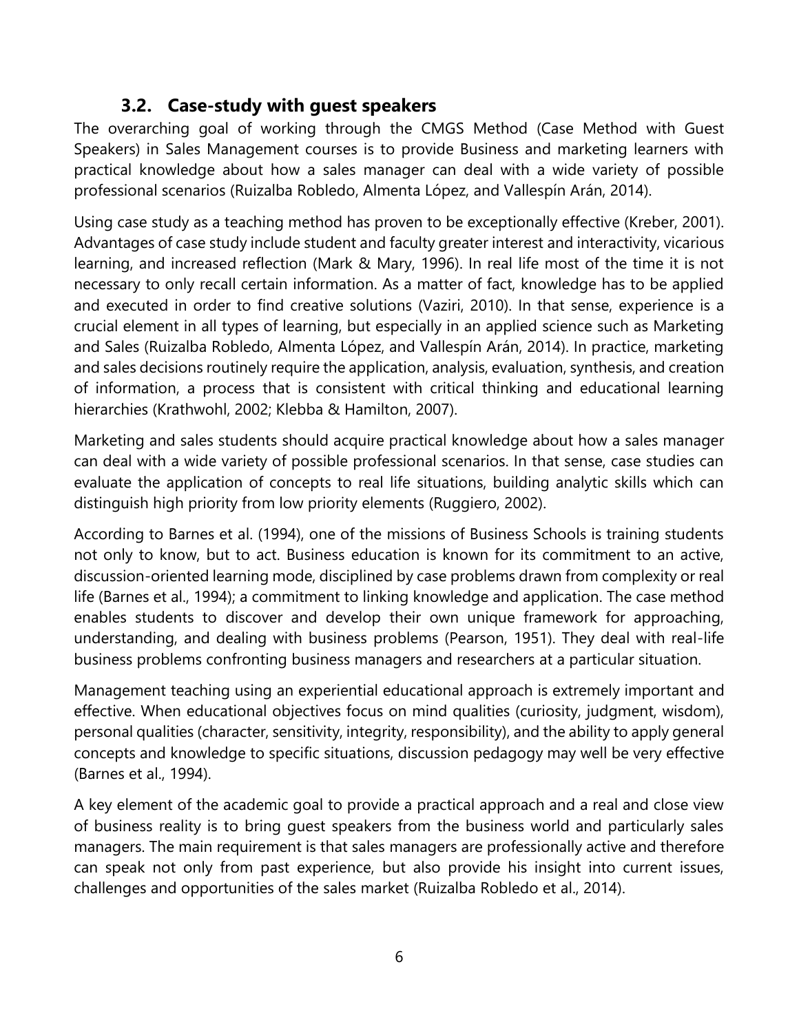#### **3.2. Case-study with guest speakers**

<span id="page-9-0"></span>The overarching goal of working through the CMGS Method (Case Method with Guest Speakers) in Sales Management courses is to provide Business and marketing learners with practical knowledge about how a sales manager can deal with a wide variety of possible professional scenarios (Ruizalba Robledo, Almenta López, and Vallespín Arán, 2014).

Using case study as a teaching method has proven to be exceptionally effective (Kreber, 2001). Advantages of case study include student and faculty greater interest and interactivity, vicarious learning, and increased reflection (Mark & Mary, 1996). In real life most of the time it is not necessary to only recall certain information. As a matter of fact, knowledge has to be applied and executed in order to find creative solutions (Vaziri, 2010). In that sense, experience is a crucial element in all types of learning, but especially in an applied science such as Marketing and Sales (Ruizalba Robledo, Almenta López, and Vallespín Arán, 2014). In practice, marketing and sales decisions routinely require the application, analysis, evaluation, synthesis, and creation of information, a process that is consistent with critical thinking and educational learning hierarchies (Krathwohl, 2002; Klebba & Hamilton, 2007).

Marketing and sales students should acquire practical knowledge about how a sales manager can deal with a wide variety of possible professional scenarios. In that sense, case studies can evaluate the application of concepts to real life situations, building analytic skills which can distinguish high priority from low priority elements (Ruggiero, 2002).

According to Barnes et al. (1994), one of the missions of Business Schools is training students not only to know, but to act. Business education is known for its commitment to an active, discussion-oriented learning mode, disciplined by case problems drawn from complexity or real life (Barnes et al., 1994); a commitment to linking knowledge and application. The case method enables students to discover and develop their own unique framework for approaching, understanding, and dealing with business problems (Pearson, 1951). They deal with real-life business problems confronting business managers and researchers at a particular situation.

Management teaching using an experiential educational approach is extremely important and effective. When educational objectives focus on mind qualities (curiosity, judgment, wisdom), personal qualities (character, sensitivity, integrity, responsibility), and the ability to apply general concepts and knowledge to specific situations, discussion pedagogy may well be very effective (Barnes et al., 1994).

A key element of the academic goal to provide a practical approach and a real and close view of business reality is to bring guest speakers from the business world and particularly sales managers. The main requirement is that sales managers are professionally active and therefore can speak not only from past experience, but also provide his insight into current issues, challenges and opportunities of the sales market (Ruizalba Robledo et al., 2014).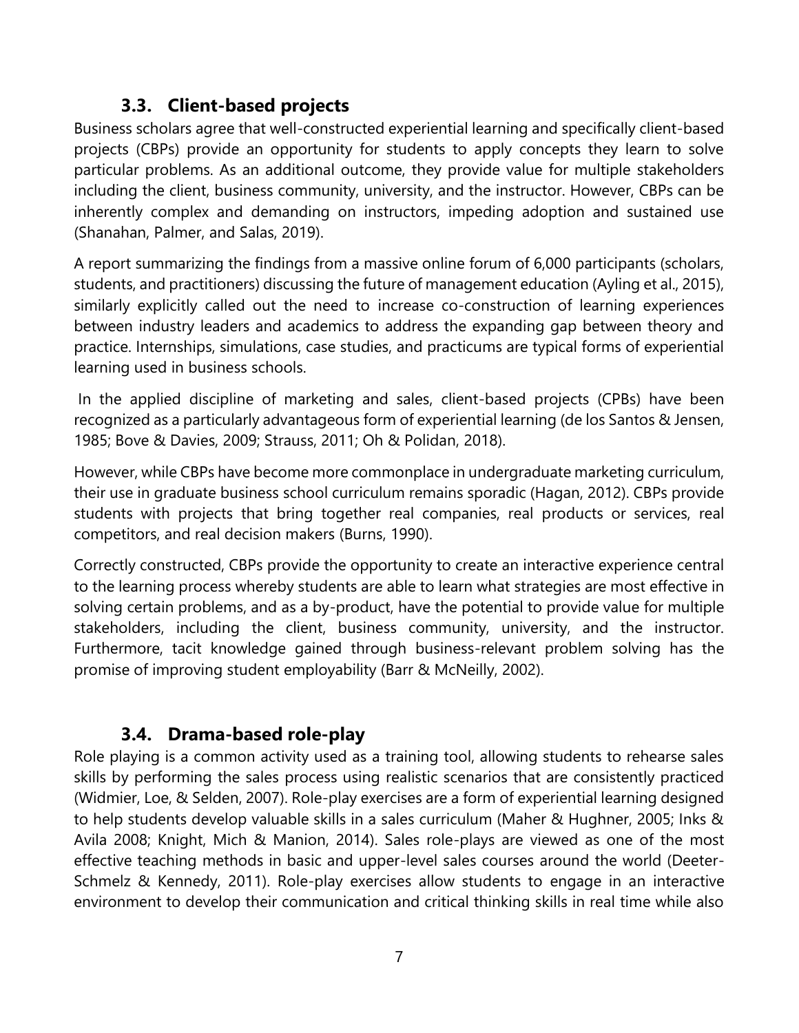### **3.3. Client-based projects**

<span id="page-10-0"></span>Business scholars agree that well-constructed experiential learning and specifically client-based projects (CBPs) provide an opportunity for students to apply concepts they learn to solve particular problems. As an additional outcome, they provide value for multiple stakeholders including the client, business community, university, and the instructor. However, CBPs can be inherently complex and demanding on instructors, impeding adoption and sustained use (Shanahan, Palmer, and Salas, 2019).

A report summarizing the findings from a massive online forum of 6,000 participants (scholars, students, and practitioners) discussing the future of management education (Ayling et al., 2015), similarly explicitly called out the need to increase co-construction of learning experiences between industry leaders and academics to address the expanding gap between theory and practice. Internships, simulations, case studies, and practicums are typical forms of experiential learning used in business schools.

In the applied discipline of marketing and sales, client-based projects (CPBs) have been recognized as a particularly advantageous form of experiential learning (de los Santos & Jensen, 1985; Bove & Davies, 2009; Strauss, 2011; Oh & Polidan, 2018).

However, while CBPs have become more commonplace in undergraduate marketing curriculum, their use in graduate business school curriculum remains sporadic (Hagan, 2012). CBPs provide students with projects that bring together real companies, real products or services, real competitors, and real decision makers (Burns, 1990).

Correctly constructed, CBPs provide the opportunity to create an interactive experience central to the learning process whereby students are able to learn what strategies are most effective in solving certain problems, and as a by-product, have the potential to provide value for multiple stakeholders, including the client, business community, university, and the instructor. Furthermore, tacit knowledge gained through business-relevant problem solving has the promise of improving student employability (Barr & McNeilly, 2002).

### **3.4. Drama-based role-play**

<span id="page-10-1"></span>Role playing is a common activity used as a training tool, allowing students to rehearse sales skills by performing the sales process using realistic scenarios that are consistently practiced (Widmier, Loe, & Selden, 2007). Role-play exercises are a form of experiential learning designed to help students develop valuable skills in a sales curriculum (Maher & Hughner, 2005; Inks & Avila 2008; Knight, Mich & Manion, 2014). Sales role-plays are viewed as one of the most effective teaching methods in basic and upper-level sales courses around the world (Deeter-Schmelz & Kennedy, 2011). Role-play exercises allow students to engage in an interactive environment to develop their communication and critical thinking skills in real time while also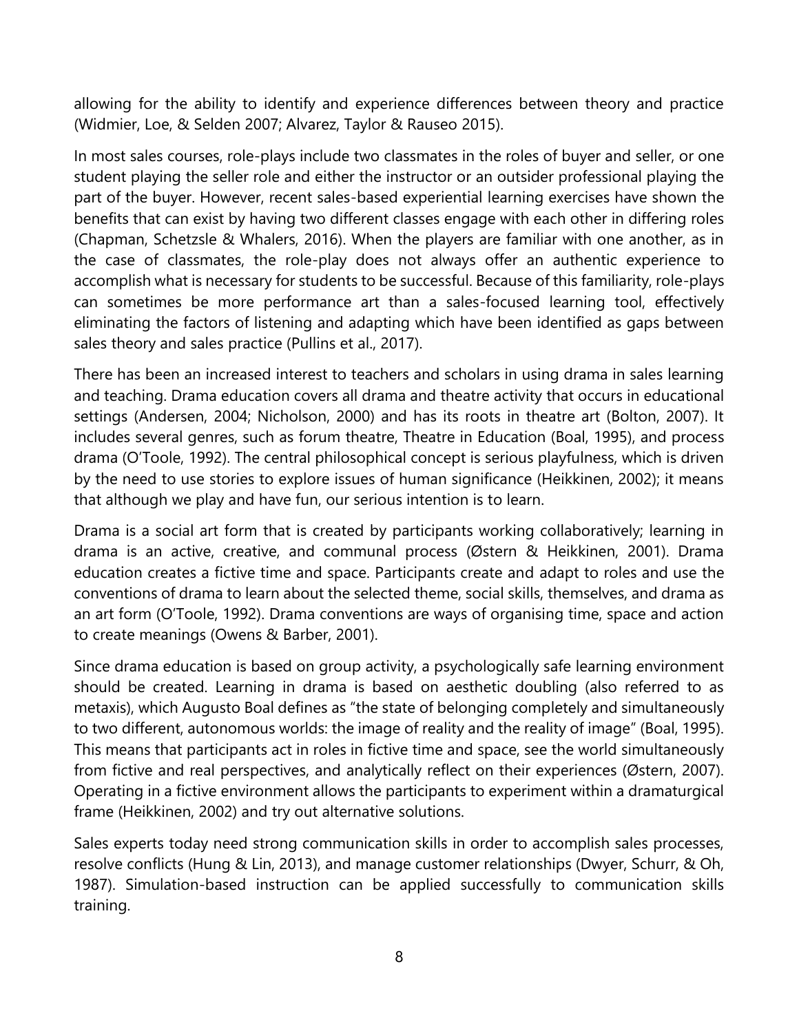allowing for the ability to identify and experience differences between theory and practice (Widmier, Loe, & Selden 2007; Alvarez, Taylor & Rauseo 2015).

In most sales courses, role-plays include two classmates in the roles of buyer and seller, or one student playing the seller role and either the instructor or an outsider professional playing the part of the buyer. However, recent sales-based experiential learning exercises have shown the benefits that can exist by having two different classes engage with each other in differing roles (Chapman, Schetzsle & Whalers, 2016). When the players are familiar with one another, as in the case of classmates, the role-play does not always offer an authentic experience to accomplish what is necessary for students to be successful. Because of this familiarity, role-plays can sometimes be more performance art than a sales-focused learning tool, effectively eliminating the factors of listening and adapting which have been identified as gaps between sales theory and sales practice (Pullins et al., 2017).

There has been an increased interest to teachers and scholars in using drama in sales learning and teaching. Drama education covers all drama and theatre activity that occurs in educational settings (Andersen, 2004; Nicholson, 2000) and has its roots in theatre art (Bolton, 2007). It includes several genres, such as forum theatre, Theatre in Education (Boal, 1995), and process drama (O'Toole, 1992). The central philosophical concept is serious playfulness, which is driven by the need to use stories to explore issues of human significance (Heikkinen, 2002); it means that although we play and have fun, our serious intention is to learn.

Drama is a social art form that is created by participants working collaboratively; learning in drama is an active, creative, and communal process (Østern & Heikkinen, 2001). Drama education creates a fictive time and space. Participants create and adapt to roles and use the conventions of drama to learn about the selected theme, social skills, themselves, and drama as an art form (O'Toole, 1992). Drama conventions are ways of organising time, space and action to create meanings (Owens & Barber, 2001).

Since drama education is based on group activity, a psychologically safe learning environment should be created. Learning in drama is based on aesthetic doubling (also referred to as metaxis), which Augusto Boal defines as "the state of belonging completely and simultaneously to two different, autonomous worlds: the image of reality and the reality of image" (Boal, 1995). This means that participants act in roles in fictive time and space, see the world simultaneously from fictive and real perspectives, and analytically reflect on their experiences (Østern, 2007). Operating in a fictive environment allows the participants to experiment within a dramaturgical frame (Heikkinen, 2002) and try out alternative solutions.

Sales experts today need strong communication skills in order to accomplish sales processes, resolve conflicts (Hung & Lin, 2013), and manage customer relationships (Dwyer, Schurr, & Oh, 1987). Simulation-based instruction can be applied successfully to communication skills training.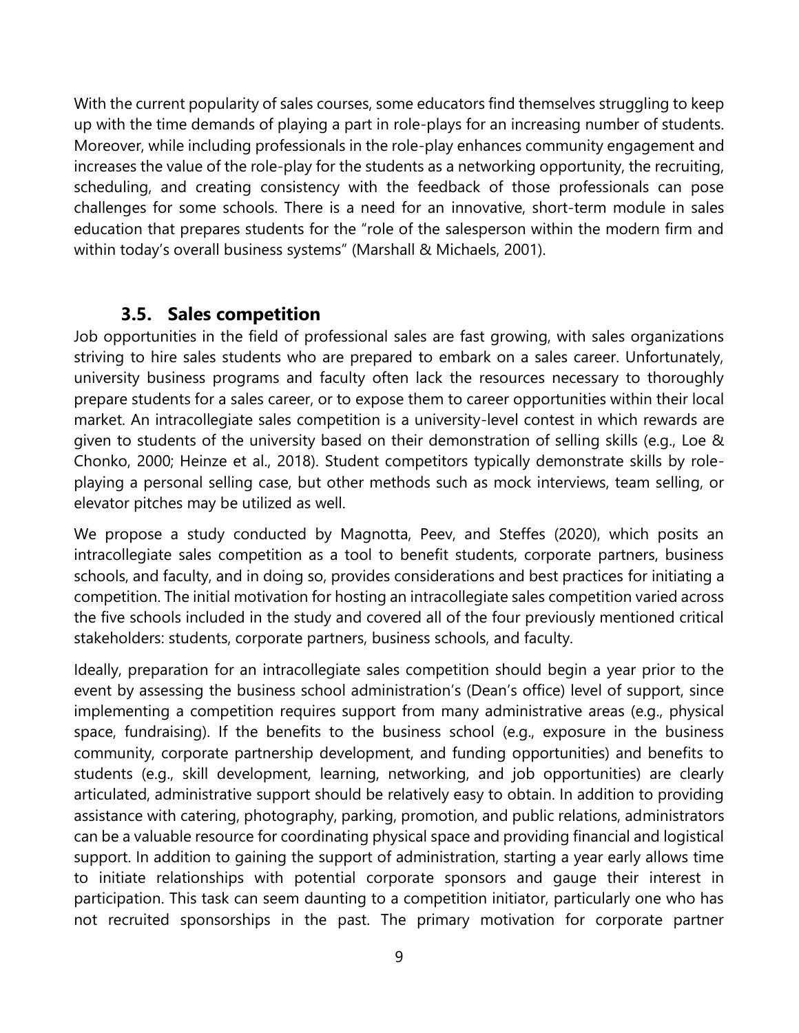With the current popularity of sales courses, some educators find themselves struggling to keep up with the time demands of playing a part in role-plays for an increasing number of students. Moreover, while including professionals in the role-play enhances community engagement and increases the value of the role-play for the students as a networking opportunity, the recruiting, scheduling, and creating consistency with the feedback of those professionals can pose challenges for some schools. There is a need for an innovative, short-term module in sales education that prepares students for the "role of the salesperson within the modern firm and within today's overall business systems" (Marshall & Michaels, 2001).

#### **3.5. Sales competition**

<span id="page-12-0"></span>Job opportunities in the field of professional sales are fast growing, with sales organizations striving to hire sales students who are prepared to embark on a sales career. Unfortunately, university business programs and faculty often lack the resources necessary to thoroughly prepare students for a sales career, or to expose them to career opportunities within their local market. An intracollegiate sales competition is a university-level contest in which rewards are given to students of the university based on their demonstration of selling skills (e.g., Loe & Chonko, 2000; Heinze et al., 2018). Student competitors typically demonstrate skills by roleplaying a personal selling case, but other methods such as mock interviews, team selling, or elevator pitches may be utilized as well.

We propose a study conducted by Magnotta, Peev, and Steffes (2020), which posits an intracollegiate sales competition as a tool to benefit students, corporate partners, business schools, and faculty, and in doing so, provides considerations and best practices for initiating a competition. The initial motivation for hosting an intracollegiate sales competition varied across the five schools included in the study and covered all of the four previously mentioned critical stakeholders: students, corporate partners, business schools, and faculty.

Ideally, preparation for an intracollegiate sales competition should begin a year prior to the event by assessing the business school administration's (Dean's office) level of support, since implementing a competition requires support from many administrative areas (e.g., physical space, fundraising). If the benefits to the business school (e.g., exposure in the business community, corporate partnership development, and funding opportunities) and benefits to students (e.g., skill development, learning, networking, and job opportunities) are clearly articulated, administrative support should be relatively easy to obtain. In addition to providing assistance with catering, photography, parking, promotion, and public relations, administrators can be a valuable resource for coordinating physical space and providing financial and logistical support. In addition to gaining the support of administration, starting a year early allows time to initiate relationships with potential corporate sponsors and gauge their interest in participation. This task can seem daunting to a competition initiator, particularly one who has not recruited sponsorships in the past. The primary motivation for corporate partner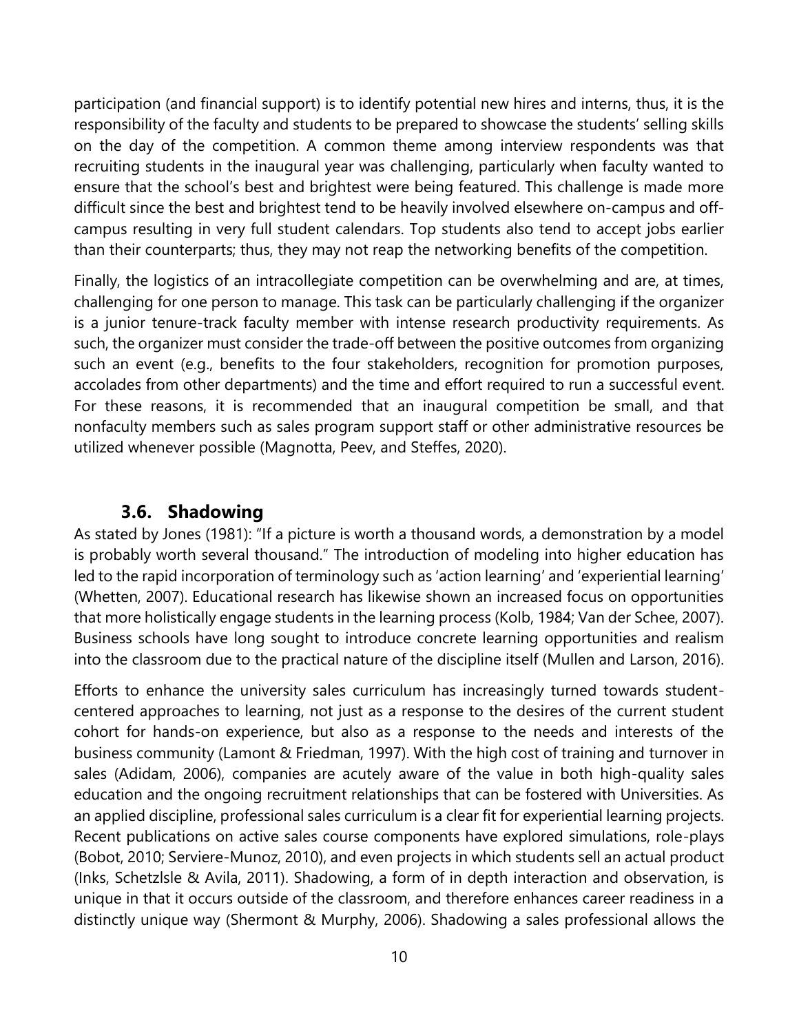participation (and financial support) is to identify potential new hires and interns, thus, it is the responsibility of the faculty and students to be prepared to showcase the students' selling skills on the day of the competition. A common theme among interview respondents was that recruiting students in the inaugural year was challenging, particularly when faculty wanted to ensure that the school's best and brightest were being featured. This challenge is made more difficult since the best and brightest tend to be heavily involved elsewhere on-campus and offcampus resulting in very full student calendars. Top students also tend to accept jobs earlier than their counterparts; thus, they may not reap the networking benefits of the competition.

Finally, the logistics of an intracollegiate competition can be overwhelming and are, at times, challenging for one person to manage. This task can be particularly challenging if the organizer is a junior tenure-track faculty member with intense research productivity requirements. As such, the organizer must consider the trade-off between the positive outcomes from organizing such an event (e.g., benefits to the four stakeholders, recognition for promotion purposes, accolades from other departments) and the time and effort required to run a successful event. For these reasons, it is recommended that an inaugural competition be small, and that nonfaculty members such as sales program support staff or other administrative resources be utilized whenever possible (Magnotta, Peev, and Steffes, 2020).

#### **3.6. Shadowing**

<span id="page-13-0"></span>As stated by Jones (1981): "If a picture is worth a thousand words, a demonstration by a model is probably worth several thousand." The introduction of modeling into higher education has led to the rapid incorporation of terminology such as 'action learning' and 'experiential learning' (Whetten, 2007). Educational research has likewise shown an increased focus on opportunities that more holistically engage students in the learning process (Kolb, 1984; Van der Schee, 2007). Business schools have long sought to introduce concrete learning opportunities and realism into the classroom due to the practical nature of the discipline itself (Mullen and Larson, 2016).

Efforts to enhance the university sales curriculum has increasingly turned towards studentcentered approaches to learning, not just as a response to the desires of the current student cohort for hands-on experience, but also as a response to the needs and interests of the business community (Lamont & Friedman, 1997). With the high cost of training and turnover in sales (Adidam, 2006), companies are acutely aware of the value in both high-quality sales education and the ongoing recruitment relationships that can be fostered with Universities. As an applied discipline, professional sales curriculum is a clear fit for experiential learning projects. Recent publications on active sales course components have explored simulations, role-plays (Bobot, 2010; Serviere-Munoz, 2010), and even projects in which students sell an actual product (Inks, Schetzlsle & Avila, 2011). Shadowing, a form of in depth interaction and observation, is unique in that it occurs outside of the classroom, and therefore enhances career readiness in a distinctly unique way (Shermont & Murphy, 2006). Shadowing a sales professional allows the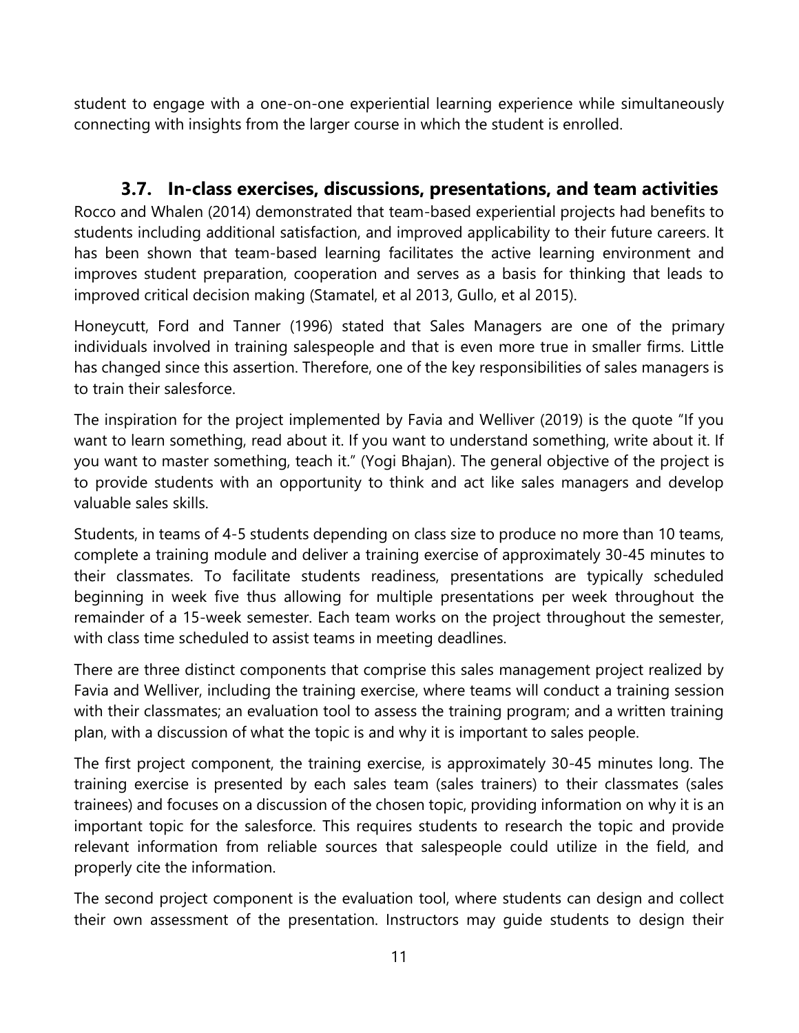student to engage with a one-on-one experiential learning experience while simultaneously connecting with insights from the larger course in which the student is enrolled.

#### **3.7. In-class exercises, discussions, presentations, and team activities**

<span id="page-14-0"></span>Rocco and Whalen (2014) demonstrated that team-based experiential projects had benefits to students including additional satisfaction, and improved applicability to their future careers. It has been shown that team-based learning facilitates the active learning environment and improves student preparation, cooperation and serves as a basis for thinking that leads to improved critical decision making (Stamatel, et al 2013, Gullo, et al 2015).

Honeycutt, Ford and Tanner (1996) stated that Sales Managers are one of the primary individuals involved in training salespeople and that is even more true in smaller firms. Little has changed since this assertion. Therefore, one of the key responsibilities of sales managers is to train their salesforce.

The inspiration for the project implemented by Favia and Welliver (2019) is the quote "If you want to learn something, read about it. If you want to understand something, write about it. If you want to master something, teach it." (Yogi Bhajan). The general objective of the project is to provide students with an opportunity to think and act like sales managers and develop valuable sales skills.

Students, in teams of 4-5 students depending on class size to produce no more than 10 teams, complete a training module and deliver a training exercise of approximately 30-45 minutes to their classmates. To facilitate students readiness, presentations are typically scheduled beginning in week five thus allowing for multiple presentations per week throughout the remainder of a 15-week semester. Each team works on the project throughout the semester, with class time scheduled to assist teams in meeting deadlines.

There are three distinct components that comprise this sales management project realized by Favia and Welliver, including the training exercise, where teams will conduct a training session with their classmates; an evaluation tool to assess the training program; and a written training plan, with a discussion of what the topic is and why it is important to sales people.

The first project component, the training exercise, is approximately 30-45 minutes long. The training exercise is presented by each sales team (sales trainers) to their classmates (sales trainees) and focuses on a discussion of the chosen topic, providing information on why it is an important topic for the salesforce. This requires students to research the topic and provide relevant information from reliable sources that salespeople could utilize in the field, and properly cite the information.

The second project component is the evaluation tool, where students can design and collect their own assessment of the presentation. Instructors may guide students to design their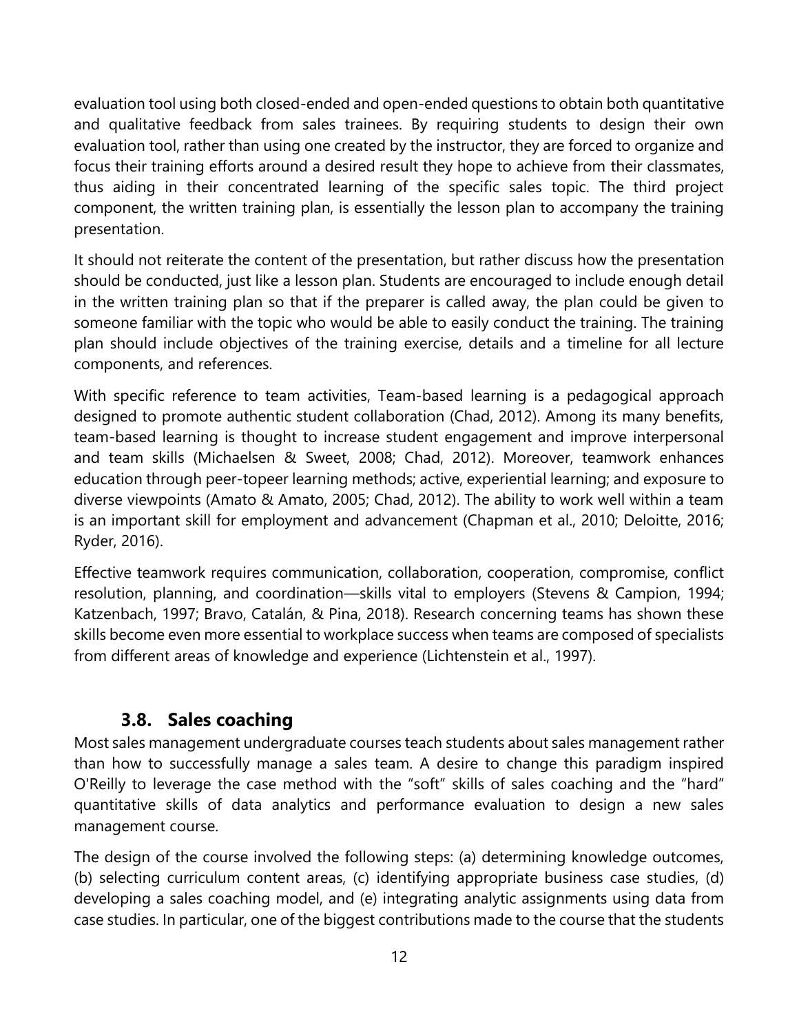evaluation tool using both closed-ended and open-ended questions to obtain both quantitative and qualitative feedback from sales trainees. By requiring students to design their own evaluation tool, rather than using one created by the instructor, they are forced to organize and focus their training efforts around a desired result they hope to achieve from their classmates, thus aiding in their concentrated learning of the specific sales topic. The third project component, the written training plan, is essentially the lesson plan to accompany the training presentation.

It should not reiterate the content of the presentation, but rather discuss how the presentation should be conducted, just like a lesson plan. Students are encouraged to include enough detail in the written training plan so that if the preparer is called away, the plan could be given to someone familiar with the topic who would be able to easily conduct the training. The training plan should include objectives of the training exercise, details and a timeline for all lecture components, and references.

With specific reference to team activities, Team-based learning is a pedagogical approach designed to promote authentic student collaboration (Chad, 2012). Among its many benefits, team-based learning is thought to increase student engagement and improve interpersonal and team skills (Michaelsen & Sweet, 2008; Chad, 2012). Moreover, teamwork enhances education through peer-topeer learning methods; active, experiential learning; and exposure to diverse viewpoints (Amato & Amato, 2005; Chad, 2012). The ability to work well within a team is an important skill for employment and advancement (Chapman et al., 2010; Deloitte, 2016; Ryder, 2016).

Effective teamwork requires communication, collaboration, cooperation, compromise, conflict resolution, planning, and coordination—skills vital to employers (Stevens & Campion, 1994; Katzenbach, 1997; Bravo, Catalán, & Pina, 2018). Research concerning teams has shown these skills become even more essential to workplace success when teams are composed of specialists from different areas of knowledge and experience (Lichtenstein et al., 1997).

#### **3.8. Sales coaching**

<span id="page-15-0"></span>Most sales management undergraduate courses teach students about sales management rather than how to successfully manage a sales team. A desire to change this paradigm inspired O'Reilly to leverage the case method with the "soft" skills of sales coaching and the "hard" quantitative skills of data analytics and performance evaluation to design a new sales management course.

The design of the course involved the following steps: (a) determining knowledge outcomes, (b) selecting curriculum content areas, (c) identifying appropriate business case studies, (d) developing a sales coaching model, and (e) integrating analytic assignments using data from case studies. In particular, one of the biggest contributions made to the course that the students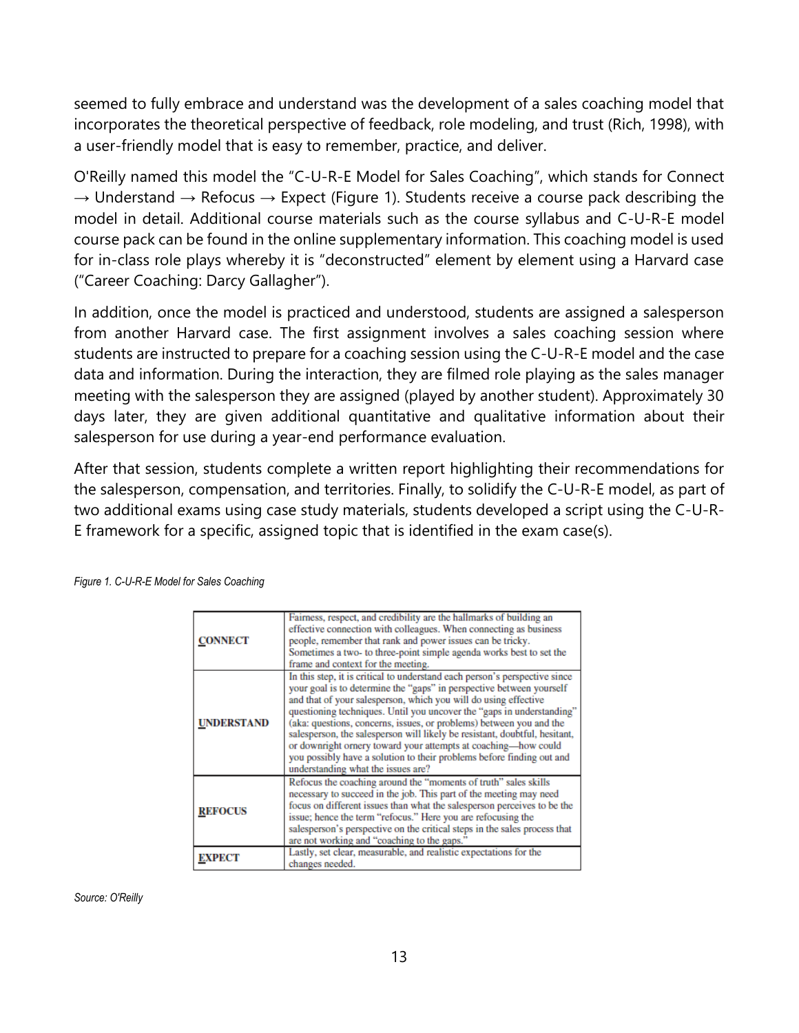seemed to fully embrace and understand was the development of a sales coaching model that incorporates the theoretical perspective of feedback, role modeling, and trust (Rich, 1998), with a user-friendly model that is easy to remember, practice, and deliver.

O'Reilly named this model the "C-U-R-E Model for Sales Coaching", which stands for Connect  $\rightarrow$  Understand  $\rightarrow$  Refocus  $\rightarrow$  Expect (Figure 1). Students receive a course pack describing the model in detail. Additional course materials such as the course syllabus and C-U-R-E model course pack can be found in the online supplementary information. This coaching model is used for in-class role plays whereby it is "deconstructed" element by element using a Harvard case ("Career Coaching: Darcy Gallagher").

In addition, once the model is practiced and understood, students are assigned a salesperson from another Harvard case. The first assignment involves a sales coaching session where students are instructed to prepare for a coaching session using the C-U-R-E model and the case data and information. During the interaction, they are filmed role playing as the sales manager meeting with the salesperson they are assigned (played by another student). Approximately 30 days later, they are given additional quantitative and qualitative information about their salesperson for use during a year-end performance evaluation.

After that session, students complete a written report highlighting their recommendations for the salesperson, compensation, and territories. Finally, to solidify the C-U-R-E model, as part of two additional exams using case study materials, students developed a script using the C-U-R-E framework for a specific, assigned topic that is identified in the exam case(s).

| CONNECT        | Fairness, respect, and credibility are the hallmarks of building an<br>effective connection with colleagues. When connecting as business<br>people, remember that rank and power issues can be tricky.<br>Sometimes a two-to three-point simple agenda works best to set the<br>frame and context for the meeting.                                                                                                                                                                                                                                                                                                                   |
|----------------|--------------------------------------------------------------------------------------------------------------------------------------------------------------------------------------------------------------------------------------------------------------------------------------------------------------------------------------------------------------------------------------------------------------------------------------------------------------------------------------------------------------------------------------------------------------------------------------------------------------------------------------|
| UNDERSTAND     | In this step, it is critical to understand each person's perspective since<br>your goal is to determine the "gaps" in perspective between yourself<br>and that of your salesperson, which you will do using effective<br>questioning techniques. Until you uncover the "gaps in understanding"<br>(aka: questions, concerns, issues, or problems) between you and the<br>salesperson, the salesperson will likely be resistant, doubtful, hesitant,<br>or downright ornery toward your attempts at coaching-how could<br>you possibly have a solution to their problems before finding out and<br>understanding what the issues are? |
| <b>REFOCUS</b> | Refocus the coaching around the "moments of truth" sales skills<br>necessary to succeed in the job. This part of the meeting may need<br>focus on different issues than what the salesperson perceives to be the<br>issue; hence the term "refocus." Here you are refocusing the<br>salesperson's perspective on the critical steps in the sales process that<br>are not working and "coaching to the gaps."                                                                                                                                                                                                                         |
| EXPECT         | Lastly, set clear, measurable, and realistic expectations for the<br>changes needed.                                                                                                                                                                                                                                                                                                                                                                                                                                                                                                                                                 |

*Figure 1. C-U-R-E Model for Sales Coaching*

*Source: O'Reilly*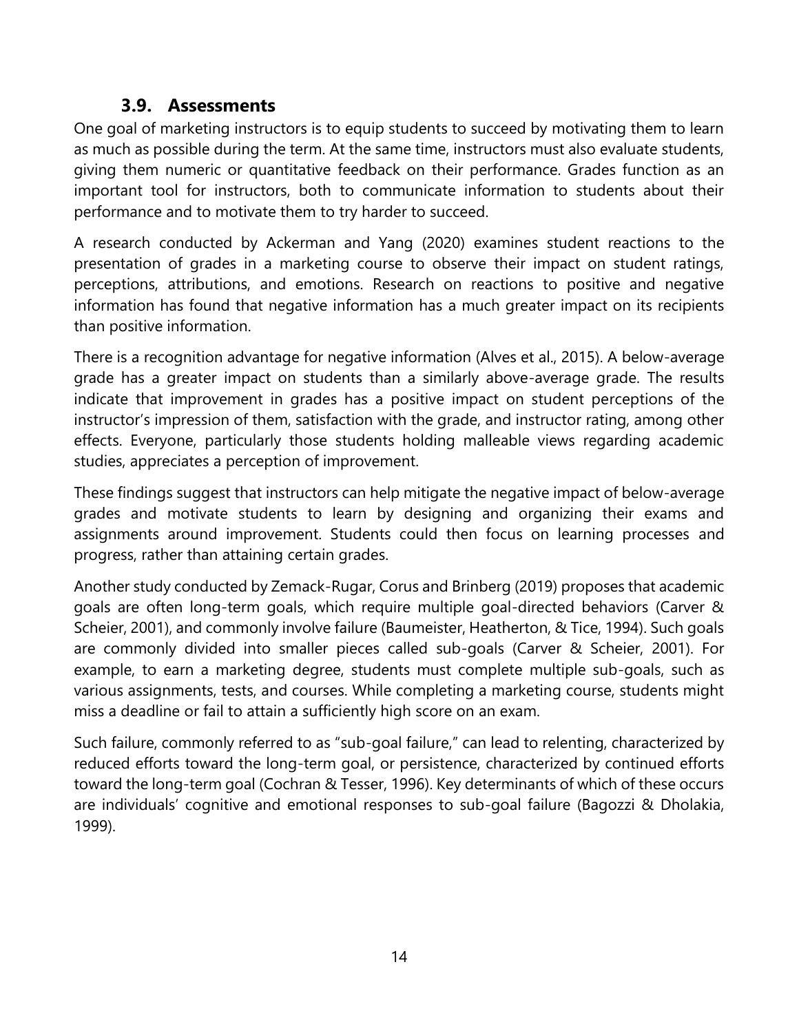#### **3.9. Assessments**

<span id="page-17-0"></span>One goal of marketing instructors is to equip students to succeed by motivating them to learn as much as possible during the term. At the same time, instructors must also evaluate students, giving them numeric or quantitative feedback on their performance. Grades function as an important tool for instructors, both to communicate information to students about their performance and to motivate them to try harder to succeed.

A research conducted by Ackerman and Yang (2020) examines student reactions to the presentation of grades in a marketing course to observe their impact on student ratings, perceptions, attributions, and emotions. Research on reactions to positive and negative information has found that negative information has a much greater impact on its recipients than positive information.

There is a recognition advantage for negative information (Alves et al., 2015). A below-average grade has a greater impact on students than a similarly above-average grade. The results indicate that improvement in grades has a positive impact on student perceptions of the instructor's impression of them, satisfaction with the grade, and instructor rating, among other effects. Everyone, particularly those students holding malleable views regarding academic studies, appreciates a perception of improvement.

These findings suggest that instructors can help mitigate the negative impact of below-average grades and motivate students to learn by designing and organizing their exams and assignments around improvement. Students could then focus on learning processes and progress, rather than attaining certain grades.

Another study conducted by Zemack-Rugar, Corus and Brinberg (2019) proposes that academic goals are often long-term goals, which require multiple goal-directed behaviors (Carver & Scheier, 2001), and commonly involve failure (Baumeister, Heatherton, & Tice, 1994). Such goals are commonly divided into smaller pieces called sub-goals (Carver & Scheier, 2001). For example, to earn a marketing degree, students must complete multiple sub-goals, such as various assignments, tests, and courses. While completing a marketing course, students might miss a deadline or fail to attain a sufficiently high score on an exam.

Such failure, commonly referred to as "sub-goal failure," can lead to relenting, characterized by reduced efforts toward the long-term goal, or persistence, characterized by continued efforts toward the long-term goal (Cochran & Tesser, 1996). Key determinants of which of these occurs are individuals' cognitive and emotional responses to sub-goal failure (Bagozzi & Dholakia, 1999).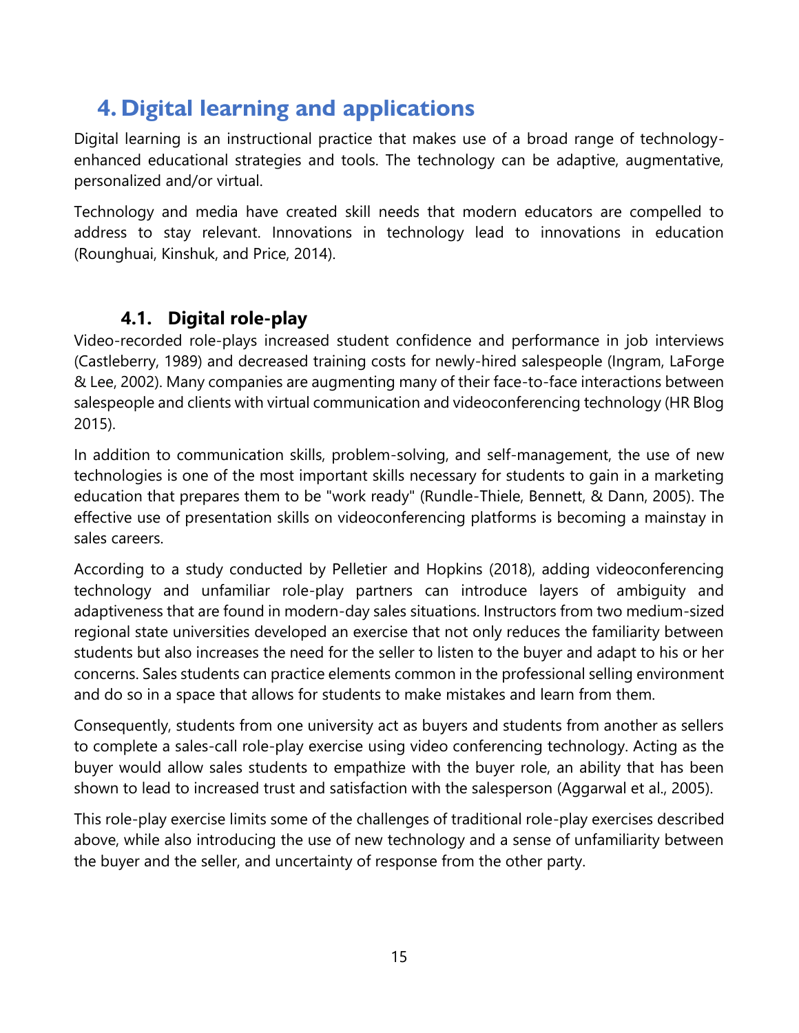### <span id="page-18-0"></span>**4. Digital learning and applications**

Digital learning is an instructional practice that makes use of a broad range of technologyenhanced educational strategies and tools. The technology can be adaptive, augmentative, personalized and/or virtual.

Technology and media have created skill needs that modern educators are compelled to address to stay relevant. Innovations in technology lead to innovations in education (Rounghuai, Kinshuk, and Price, 2014).

### **4.1. Digital role-play**

<span id="page-18-1"></span>Video-recorded role-plays increased student confidence and performance in job interviews (Castleberry, 1989) and decreased training costs for newly-hired salespeople (Ingram, LaForge & Lee, 2002). Many companies are augmenting many of their face-to-face interactions between salespeople and clients with virtual communication and videoconferencing technology (HR Blog 2015).

In addition to communication skills, problem-solving, and self-management, the use of new technologies is one of the most important skills necessary for students to gain in a marketing education that prepares them to be "work ready" (Rundle-Thiele, Bennett, & Dann, 2005). The effective use of presentation skills on videoconferencing platforms is becoming a mainstay in sales careers.

According to a study conducted by Pelletier and Hopkins (2018), adding videoconferencing technology and unfamiliar role-play partners can introduce layers of ambiguity and adaptiveness that are found in modern-day sales situations. Instructors from two medium-sized regional state universities developed an exercise that not only reduces the familiarity between students but also increases the need for the seller to listen to the buyer and adapt to his or her concerns. Sales students can practice elements common in the professional selling environment and do so in a space that allows for students to make mistakes and learn from them.

Consequently, students from one university act as buyers and students from another as sellers to complete a sales-call role-play exercise using video conferencing technology. Acting as the buyer would allow sales students to empathize with the buyer role, an ability that has been shown to lead to increased trust and satisfaction with the salesperson (Aggarwal et al., 2005).

This role-play exercise limits some of the challenges of traditional role-play exercises described above, while also introducing the use of new technology and a sense of unfamiliarity between the buyer and the seller, and uncertainty of response from the other party.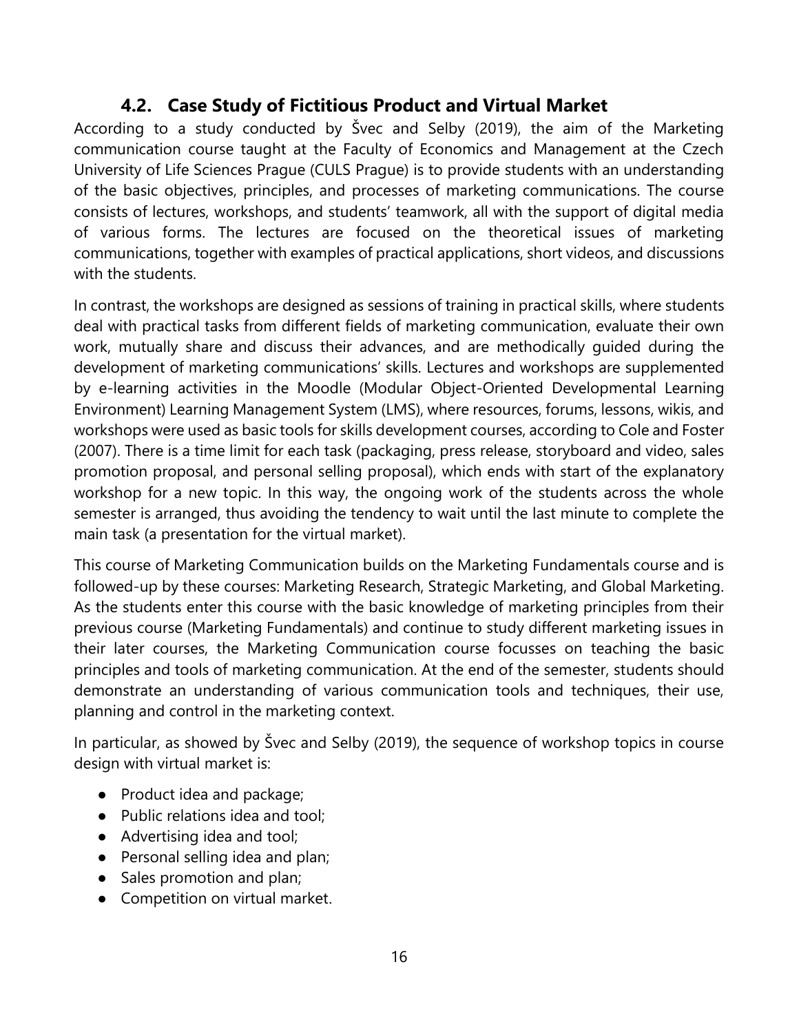#### **4.2. Case Study of Fictitious Product and Virtual Market**

<span id="page-19-0"></span>According to a study conducted by Švec and Selby (2019), the aim of the Marketing communication course taught at the Faculty of Economics and Management at the Czech University of Life Sciences Prague (CULS Prague) is to provide students with an understanding of the basic objectives, principles, and processes of marketing communications. The course consists of lectures, workshops, and students' teamwork, all with the support of digital media of various forms. The lectures are focused on the theoretical issues of marketing communications, together with examples of practical applications, short videos, and discussions with the students.

In contrast, the workshops are designed as sessions of training in practical skills, where students deal with practical tasks from different fields of marketing communication, evaluate their own work, mutually share and discuss their advances, and are methodically guided during the development of marketing communications' skills. Lectures and workshops are supplemented by e-learning activities in the Moodle (Modular Object-Oriented Developmental Learning Environment) Learning Management System (LMS), where resources, forums, lessons, wikis, and workshops were used as basic tools for skills development courses, according to Cole and Foster (2007). There is a time limit for each task (packaging, press release, storyboard and video, sales promotion proposal, and personal selling proposal), which ends with start of the explanatory workshop for a new topic. In this way, the ongoing work of the students across the whole semester is arranged, thus avoiding the tendency to wait until the last minute to complete the main task (a presentation for the virtual market).

This course of Marketing Communication builds on the Marketing Fundamentals course and is followed-up by these courses: Marketing Research, Strategic Marketing, and Global Marketing. As the students enter this course with the basic knowledge of marketing principles from their previous course (Marketing Fundamentals) and continue to study different marketing issues in their later courses, the Marketing Communication course focusses on teaching the basic principles and tools of marketing communication. At the end of the semester, students should demonstrate an understanding of various communication tools and techniques, their use, planning and control in the marketing context.

In particular, as showed by Švec and Selby (2019), the sequence of workshop topics in course design with virtual market is:

- Product idea and package;
- Public relations idea and tool;
- Advertising idea and tool;
- Personal selling idea and plan;
- Sales promotion and plan;
- Competition on virtual market.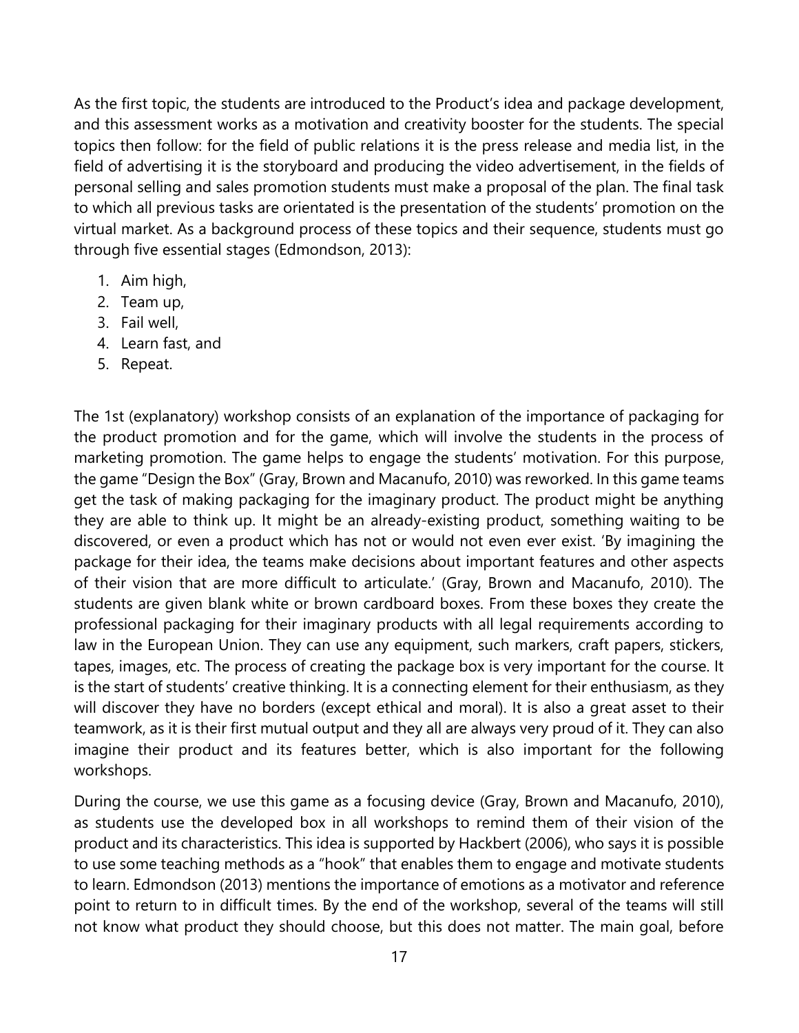As the first topic, the students are introduced to the Product's idea and package development, and this assessment works as a motivation and creativity booster for the students. The special topics then follow: for the field of public relations it is the press release and media list, in the field of advertising it is the storyboard and producing the video advertisement, in the fields of personal selling and sales promotion students must make a proposal of the plan. The final task to which all previous tasks are orientated is the presentation of the students' promotion on the virtual market. As a background process of these topics and their sequence, students must go through five essential stages (Edmondson, 2013):

- 1. Aim high,
- 2. Team up,
- 3. Fail well,
- 4. Learn fast, and
- 5. Repeat.

The 1st (explanatory) workshop consists of an explanation of the importance of packaging for the product promotion and for the game, which will involve the students in the process of marketing promotion. The game helps to engage the students' motivation. For this purpose, the game "Design the Box" (Gray, Brown and Macanufo, 2010) was reworked. In this game teams get the task of making packaging for the imaginary product. The product might be anything they are able to think up. It might be an already-existing product, something waiting to be discovered, or even a product which has not or would not even ever exist. 'By imagining the package for their idea, the teams make decisions about important features and other aspects of their vision that are more difficult to articulate.' (Gray, Brown and Macanufo, 2010). The students are given blank white or brown cardboard boxes. From these boxes they create the professional packaging for their imaginary products with all legal requirements according to law in the European Union. They can use any equipment, such markers, craft papers, stickers, tapes, images, etc. The process of creating the package box is very important for the course. It is the start of students' creative thinking. It is a connecting element for their enthusiasm, as they will discover they have no borders (except ethical and moral). It is also a great asset to their teamwork, as it is their first mutual output and they all are always very proud of it. They can also imagine their product and its features better, which is also important for the following workshops.

During the course, we use this game as a focusing device (Gray, Brown and Macanufo, 2010), as students use the developed box in all workshops to remind them of their vision of the product and its characteristics. This idea is supported by Hackbert (2006), who says it is possible to use some teaching methods as a "hook" that enables them to engage and motivate students to learn. Edmondson (2013) mentions the importance of emotions as a motivator and reference point to return to in difficult times. By the end of the workshop, several of the teams will still not know what product they should choose, but this does not matter. The main goal, before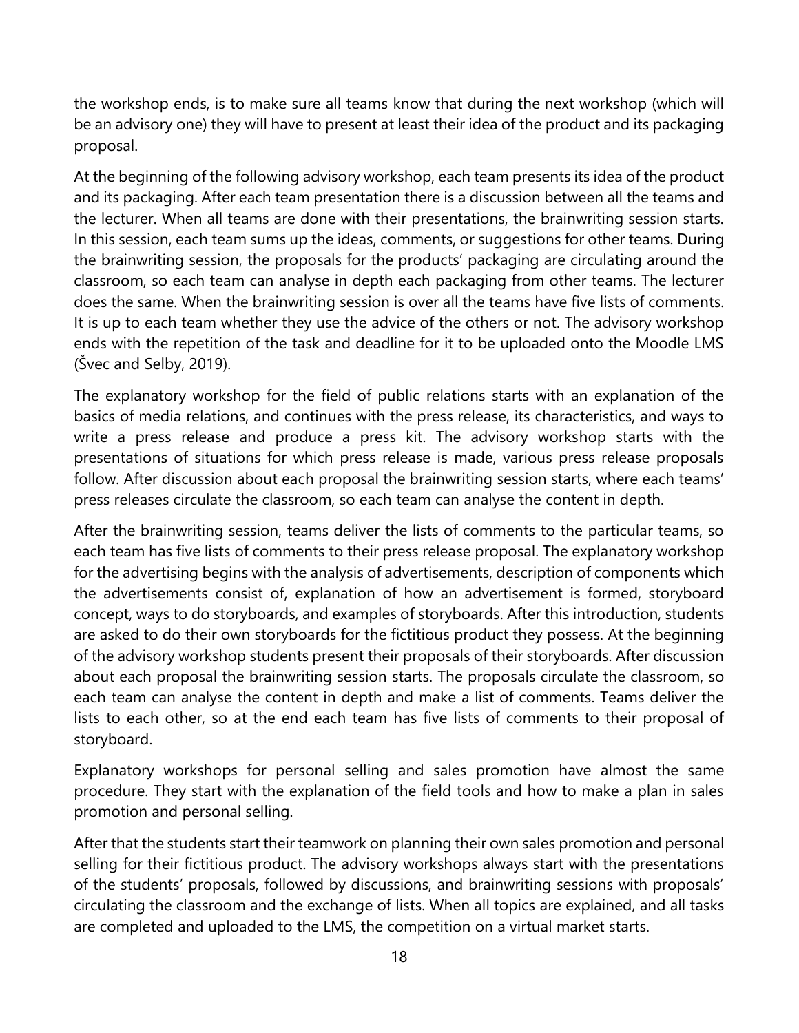the workshop ends, is to make sure all teams know that during the next workshop (which will be an advisory one) they will have to present at least their idea of the product and its packaging proposal.

At the beginning of the following advisory workshop, each team presents its idea of the product and its packaging. After each team presentation there is a discussion between all the teams and the lecturer. When all teams are done with their presentations, the brainwriting session starts. In this session, each team sums up the ideas, comments, or suggestions for other teams. During the brainwriting session, the proposals for the products' packaging are circulating around the classroom, so each team can analyse in depth each packaging from other teams. The lecturer does the same. When the brainwriting session is over all the teams have five lists of comments. It is up to each team whether they use the advice of the others or not. The advisory workshop ends with the repetition of the task and deadline for it to be uploaded onto the Moodle LMS (Švec and Selby, 2019).

The explanatory workshop for the field of public relations starts with an explanation of the basics of media relations, and continues with the press release, its characteristics, and ways to write a press release and produce a press kit. The advisory workshop starts with the presentations of situations for which press release is made, various press release proposals follow. After discussion about each proposal the brainwriting session starts, where each teams' press releases circulate the classroom, so each team can analyse the content in depth.

After the brainwriting session, teams deliver the lists of comments to the particular teams, so each team has five lists of comments to their press release proposal. The explanatory workshop for the advertising begins with the analysis of advertisements, description of components which the advertisements consist of, explanation of how an advertisement is formed, storyboard concept, ways to do storyboards, and examples of storyboards. After this introduction, students are asked to do their own storyboards for the fictitious product they possess. At the beginning of the advisory workshop students present their proposals of their storyboards. After discussion about each proposal the brainwriting session starts. The proposals circulate the classroom, so each team can analyse the content in depth and make a list of comments. Teams deliver the lists to each other, so at the end each team has five lists of comments to their proposal of storyboard.

Explanatory workshops for personal selling and sales promotion have almost the same procedure. They start with the explanation of the field tools and how to make a plan in sales promotion and personal selling.

After that the students start their teamwork on planning their own sales promotion and personal selling for their fictitious product. The advisory workshops always start with the presentations of the students' proposals, followed by discussions, and brainwriting sessions with proposals' circulating the classroom and the exchange of lists. When all topics are explained, and all tasks are completed and uploaded to the LMS, the competition on a virtual market starts.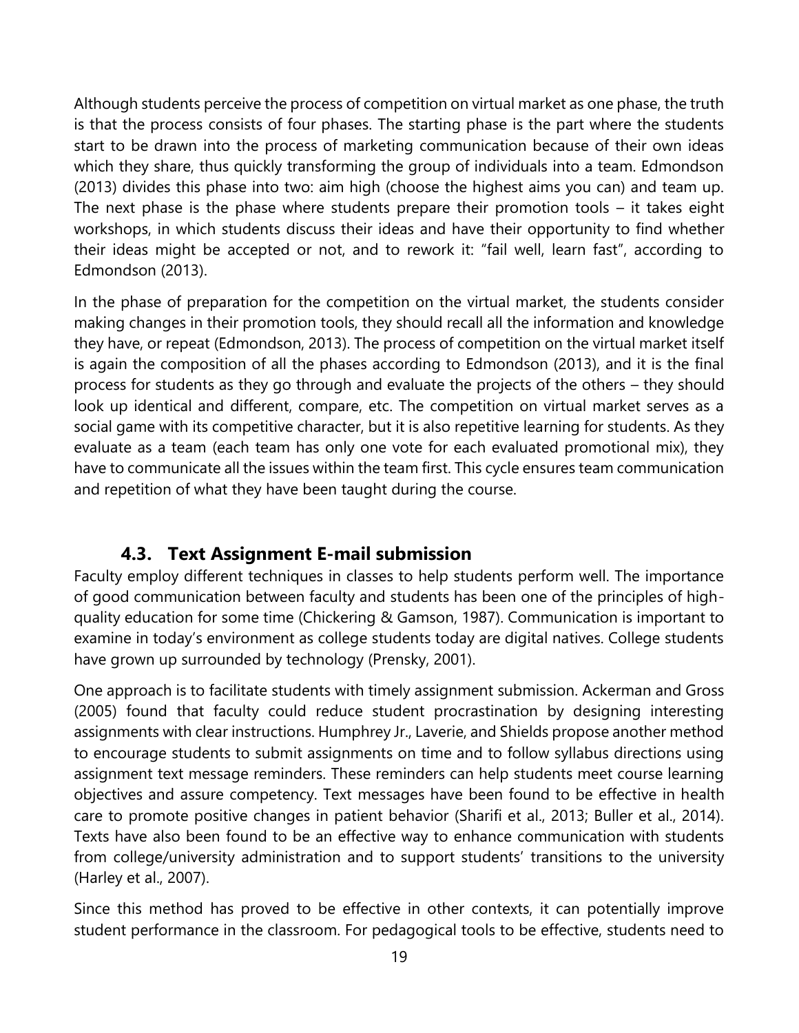Although students perceive the process of competition on virtual market as one phase, the truth is that the process consists of four phases. The starting phase is the part where the students start to be drawn into the process of marketing communication because of their own ideas which they share, thus quickly transforming the group of individuals into a team. Edmondson (2013) divides this phase into two: aim high (choose the highest aims you can) and team up. The next phase is the phase where students prepare their promotion tools – it takes eight workshops, in which students discuss their ideas and have their opportunity to find whether their ideas might be accepted or not, and to rework it: "fail well, learn fast", according to Edmondson (2013).

In the phase of preparation for the competition on the virtual market, the students consider making changes in their promotion tools, they should recall all the information and knowledge they have, or repeat (Edmondson, 2013). The process of competition on the virtual market itself is again the composition of all the phases according to Edmondson (2013), and it is the final process for students as they go through and evaluate the projects of the others – they should look up identical and different, compare, etc. The competition on virtual market serves as a social game with its competitive character, but it is also repetitive learning for students. As they evaluate as a team (each team has only one vote for each evaluated promotional mix), they have to communicate all the issues within the team first. This cycle ensures team communication and repetition of what they have been taught during the course.

#### **4.3. Text Assignment E-mail submission**

<span id="page-22-0"></span>Faculty employ different techniques in classes to help students perform well. The importance of good communication between faculty and students has been one of the principles of highquality education for some time (Chickering & Gamson, 1987). Communication is important to examine in today's environment as college students today are digital natives. College students have grown up surrounded by technology (Prensky, 2001).

One approach is to facilitate students with timely assignment submission. Ackerman and Gross (2005) found that faculty could reduce student procrastination by designing interesting assignments with clear instructions. Humphrey Jr., Laverie, and Shields propose another method to encourage students to submit assignments on time and to follow syllabus directions using assignment text message reminders. These reminders can help students meet course learning objectives and assure competency. Text messages have been found to be effective in health care to promote positive changes in patient behavior (Sharifi et al., 2013; Buller et al., 2014). Texts have also been found to be an effective way to enhance communication with students from college/university administration and to support students' transitions to the university (Harley et al., 2007).

Since this method has proved to be effective in other contexts, it can potentially improve student performance in the classroom. For pedagogical tools to be effective, students need to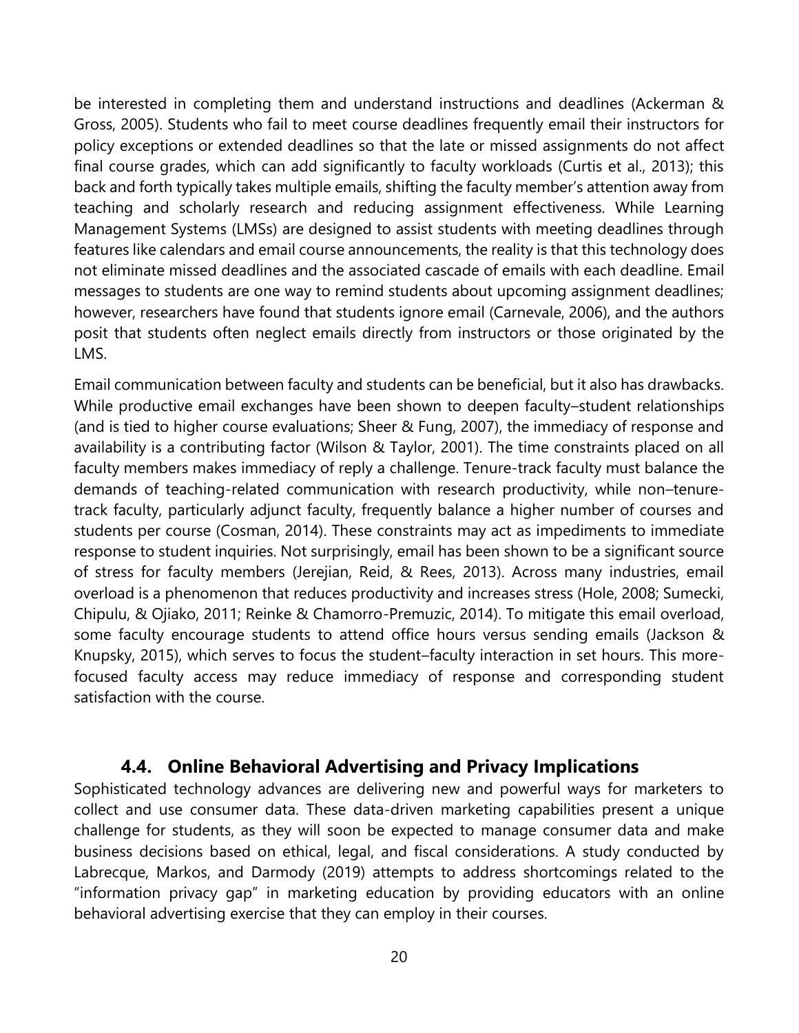be interested in completing them and understand instructions and deadlines (Ackerman & Gross, 2005). Students who fail to meet course deadlines frequently email their instructors for policy exceptions or extended deadlines so that the late or missed assignments do not affect final course grades, which can add significantly to faculty workloads (Curtis et al., 2013); this back and forth typically takes multiple emails, shifting the faculty member's attention away from teaching and scholarly research and reducing assignment effectiveness. While Learning Management Systems (LMSs) are designed to assist students with meeting deadlines through features like calendars and email course announcements, the reality is that this technology does not eliminate missed deadlines and the associated cascade of emails with each deadline. Email messages to students are one way to remind students about upcoming assignment deadlines; however, researchers have found that students ignore email (Carnevale, 2006), and the authors posit that students often neglect emails directly from instructors or those originated by the LMS.

Email communication between faculty and students can be beneficial, but it also has drawbacks. While productive email exchanges have been shown to deepen faculty–student relationships (and is tied to higher course evaluations; Sheer & Fung, 2007), the immediacy of response and availability is a contributing factor (Wilson & Taylor, 2001). The time constraints placed on all faculty members makes immediacy of reply a challenge. Tenure-track faculty must balance the demands of teaching-related communication with research productivity, while non–tenuretrack faculty, particularly adjunct faculty, frequently balance a higher number of courses and students per course (Cosman, 2014). These constraints may act as impediments to immediate response to student inquiries. Not surprisingly, email has been shown to be a significant source of stress for faculty members (Jerejian, Reid, & Rees, 2013). Across many industries, email overload is a phenomenon that reduces productivity and increases stress (Hole, 2008; Sumecki, Chipulu, & Ojiako, 2011; Reinke & Chamorro-Premuzic, 2014). To mitigate this email overload, some faculty encourage students to attend office hours versus sending emails (Jackson & Knupsky, 2015), which serves to focus the student–faculty interaction in set hours. This morefocused faculty access may reduce immediacy of response and corresponding student satisfaction with the course.

#### **4.4. Online Behavioral Advertising and Privacy Implications**

<span id="page-23-0"></span>Sophisticated technology advances are delivering new and powerful ways for marketers to collect and use consumer data. These data-driven marketing capabilities present a unique challenge for students, as they will soon be expected to manage consumer data and make business decisions based on ethical, legal, and fiscal considerations. A study conducted by Labrecque, Markos, and Darmody (2019) attempts to address shortcomings related to the "information privacy gap" in marketing education by providing educators with an online behavioral advertising exercise that they can employ in their courses.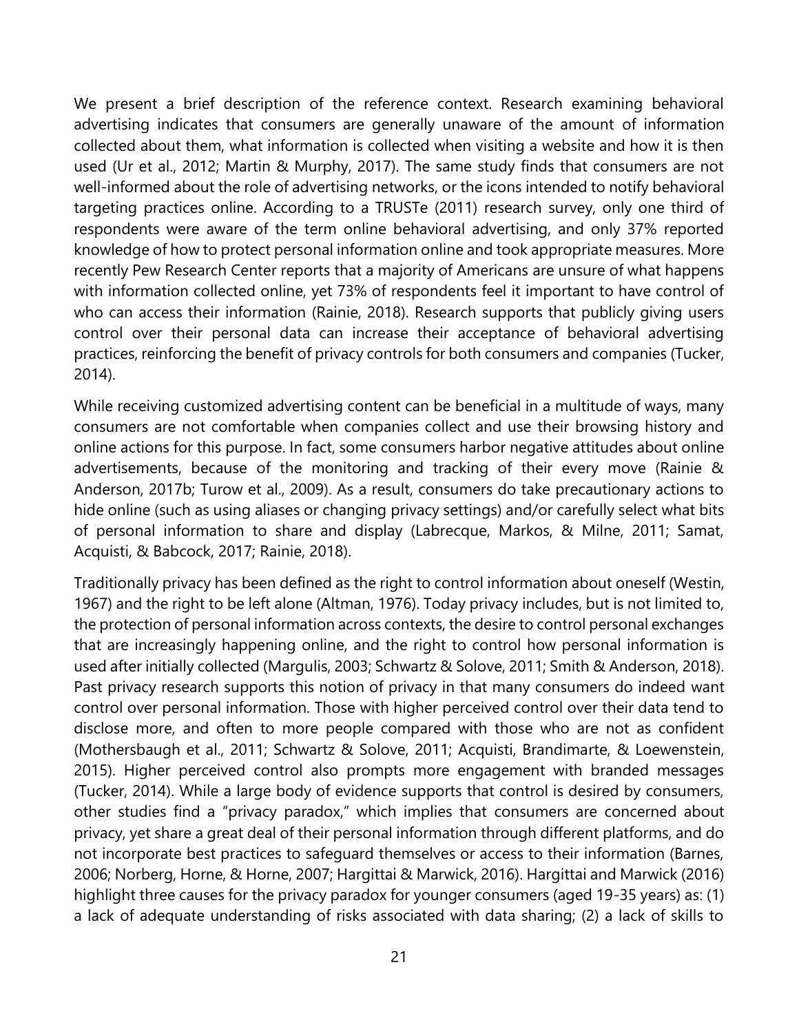We present a brief description of the reference context. Research examining behavioral advertising indicates that consumers are generally unaware of the amount of information collected about them, what information is collected when visiting a website and how it is then used (Ur et al., 2012; Martin & Murphy, 2017). The same study finds that consumers are not well-informed about the role of advertising networks, or the icons intended to notify behavioral targeting practices online. According to a TRUSTe (2011) research survey, only one third of respondents were aware of the term online behavioral advertising, and only 37% reported knowledge of how to protect personal information online and took appropriate measures. More recently Pew Research Center reports that a majority of Americans are unsure of what happens with information collected online, yet 73% of respondents feel it important to have control of who can access their information (Rainie, 2018). Research supports that publicly giving users control over their personal data can increase their acceptance of behavioral advertising practices, reinforcing the benefit of privacy controls for both consumers and companies (Tucker, 2014).

While receiving customized advertising content can be beneficial in a multitude of ways, many consumers are not comfortable when companies collect and use their browsing history and online actions for this purpose. In fact, some consumers harbor negative attitudes about online advertisements, because of the monitoring and tracking of their every move (Rainie & Anderson, 2017b; Turow et al., 2009). As a result, consumers do take precautionary actions to hide online (such as using aliases or changing privacy settings) and/or carefully select what bits of personal information to share and display (Labrecque, Markos, & Milne, 2011; Samat, Acquisti, & Babcock, 2017; Rainie, 2018).

Traditionally privacy has been defined as the right to control information about oneself (Westin, 1967) and the right to be left alone (Altman, 1976). Today privacy includes, but is not limited to, the protection of personal information across contexts, the desire to control personal exchanges that are increasingly happening online, and the right to control how personal information is used after initially collected (Margulis, 2003; Schwartz & Solove, 2011; Smith & Anderson, 2018). Past privacy research supports this notion of privacy in that many consumers do indeed want control over personal information. Those with higher perceived control over their data tend to disclose more, and often to more people compared with those who are not as confident (Mothersbaugh et al., 2011; Schwartz & Solove, 2011; Acquisti, Brandimarte, & Loewenstein, 2015). Higher perceived control also prompts more engagement with branded messages (Tucker, 2014). While a large body of evidence supports that control is desired by consumers, other studies find a "privacy paradox," which implies that consumers are concerned about privacy, yet share a great deal of their personal information through different platforms, and do not incorporate best practices to safeguard themselves or access to their information (Barnes, 2006; Norberg, Horne, & Horne, 2007; Hargittai & Marwick, 2016). Hargittai and Marwick (2016) highlight three causes for the privacy paradox for younger consumers (aged 19-35 years) as: (1) a lack of adequate understanding of risks associated with data sharing; (2) a lack of skills to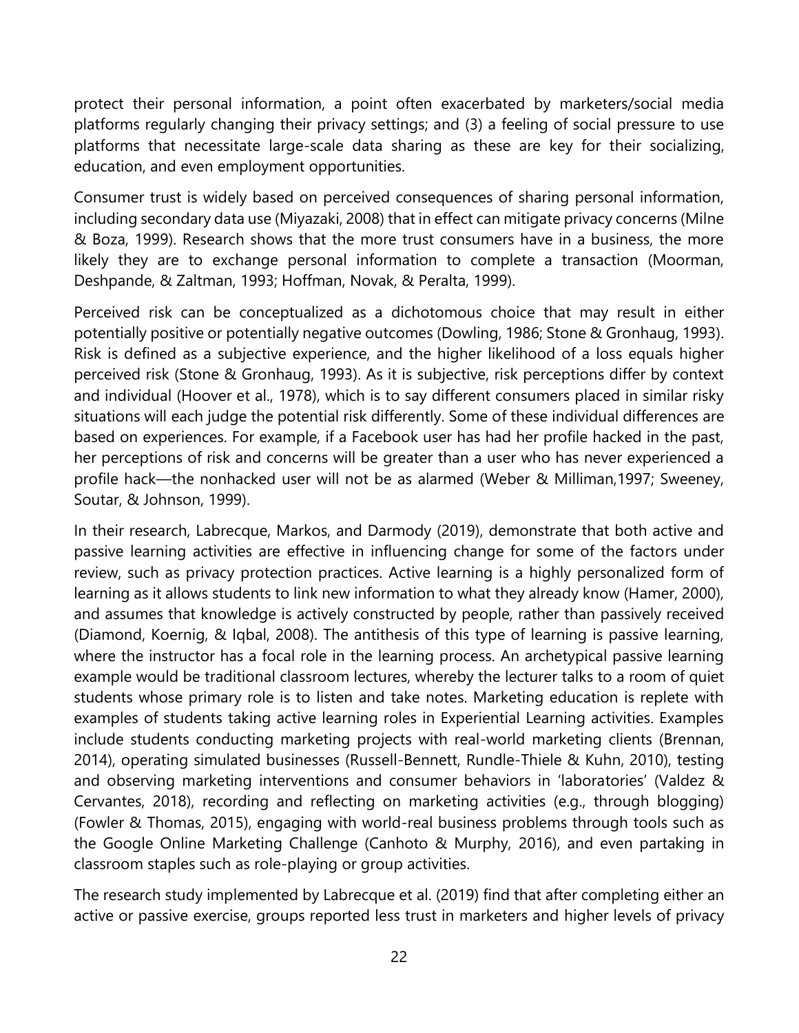protect their personal information, a point often exacerbated by marketers/social media platforms regularly changing their privacy settings; and (3) a feeling of social pressure to use platforms that necessitate large-scale data sharing as these are key for their socializing, education, and even employment opportunities.

Consumer trust is widely based on perceived consequences of sharing personal information, including secondary data use (Miyazaki, 2008) that in effect can mitigate privacy concerns (Milne & Boza, 1999). Research shows that the more trust consumers have in a business, the more likely they are to exchange personal information to complete a transaction (Moorman, Deshpande, & Zaltman, 1993; Hoffman, Novak, & Peralta, 1999).

Perceived risk can be conceptualized as a dichotomous choice that may result in either potentially positive or potentially negative outcomes (Dowling, 1986; Stone & Gronhaug, 1993). Risk is defined as a subjective experience, and the higher likelihood of a loss equals higher perceived risk (Stone & Gronhaug, 1993). As it is subjective, risk perceptions differ by context and individual (Hoover et al., 1978), which is to say different consumers placed in similar risky situations will each judge the potential risk differently. Some of these individual differences are based on experiences. For example, if a Facebook user has had her profile hacked in the past, her perceptions of risk and concerns will be greater than a user who has never experienced a profile hack—the nonhacked user will not be as alarmed (Weber & Milliman,1997; Sweeney, Soutar, & Johnson, 1999).

In their research, Labrecque, Markos, and Darmody (2019), demonstrate that both active and passive learning activities are effective in influencing change for some of the factors under review, such as privacy protection practices. Active learning is a highly personalized form of learning as it allows students to link new information to what they already know (Hamer, 2000), and assumes that knowledge is actively constructed by people, rather than passively received (Diamond, Koernig, & Iqbal, 2008). The antithesis of this type of learning is passive learning, where the instructor has a focal role in the learning process. An archetypical passive learning example would be traditional classroom lectures, whereby the lecturer talks to a room of quiet students whose primary role is to listen and take notes. Marketing education is replete with examples of students taking active learning roles in Experiential Learning activities. Examples include students conducting marketing projects with real-world marketing clients (Brennan, 2014), operating simulated businesses (Russell-Bennett, Rundle-Thiele & Kuhn, 2010), testing and observing marketing interventions and consumer behaviors in 'laboratories' (Valdez & Cervantes, 2018), recording and reflecting on marketing activities (e.g., through blogging) (Fowler & Thomas, 2015), engaging with world-real business problems through tools such as the Google Online Marketing Challenge (Canhoto & Murphy, 2016), and even partaking in classroom staples such as role-playing or group activities.

The research study implemented by Labrecque et al. (2019) find that after completing either an active or passive exercise, groups reported less trust in marketers and higher levels of privacy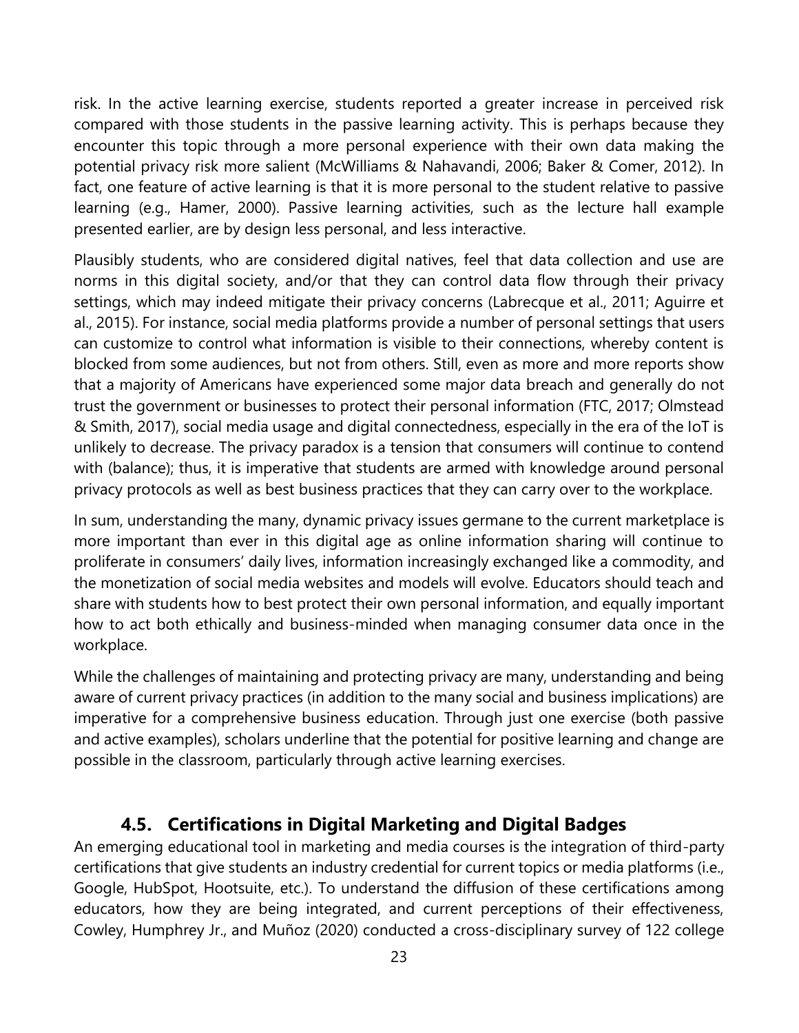risk. In the active learning exercise, students reported a greater increase in perceived risk compared with those students in the passive learning activity. This is perhaps because they encounter this topic through a more personal experience with their own data making the potential privacy risk more salient (McWilliams & Nahavandi, 2006; Baker & Comer, 2012). In fact, one feature of active learning is that it is more personal to the student relative to passive learning (e.g., Hamer, 2000). Passive learning activities, such as the lecture hall example presented earlier, are by design less personal, and less interactive.

Plausibly students, who are considered digital natives, feel that data collection and use are norms in this digital society, and/or that they can control data flow through their privacy settings, which may indeed mitigate their privacy concerns (Labrecque et al., 2011; Aguirre et al., 2015). For instance, social media platforms provide a number of personal settings that users can customize to control what information is visible to their connections, whereby content is blocked from some audiences, but not from others. Still, even as more and more reports show that a majority of Americans have experienced some major data breach and generally do not trust the government or businesses to protect their personal information (FTC, 2017; Olmstead & Smith, 2017), social media usage and digital connectedness, especially in the era of the IoT is unlikely to decrease. The privacy paradox is a tension that consumers will continue to contend with (balance); thus, it is imperative that students are armed with knowledge around personal privacy protocols as well as best business practices that they can carry over to the workplace.

In sum, understanding the many, dynamic privacy issues germane to the current marketplace is more important than ever in this digital age as online information sharing will continue to proliferate in consumers' daily lives, information increasingly exchanged like a commodity, and the monetization of social media websites and models will evolve. Educators should teach and share with students how to best protect their own personal information, and equally important how to act both ethically and business-minded when managing consumer data once in the workplace.

While the challenges of maintaining and protecting privacy are many, understanding and being aware of current privacy practices (in addition to the many social and business implications) are imperative for a comprehensive business education. Through just one exercise (both passive and active examples), scholars underline that the potential for positive learning and change are possible in the classroom, particularly through active learning exercises.

#### **4.5. Certifications in Digital Marketing and Digital Badges**

<span id="page-26-0"></span>An emerging educational tool in marketing and media courses is the integration of third-party certifications that give students an industry credential for current topics or media platforms (i.e., Google, HubSpot, Hootsuite, etc.). To understand the diffusion of these certifications among educators, how they are being integrated, and current perceptions of their effectiveness, Cowley, Humphrey Jr., and Muñoz (2020) conducted a cross-disciplinary survey of 122 college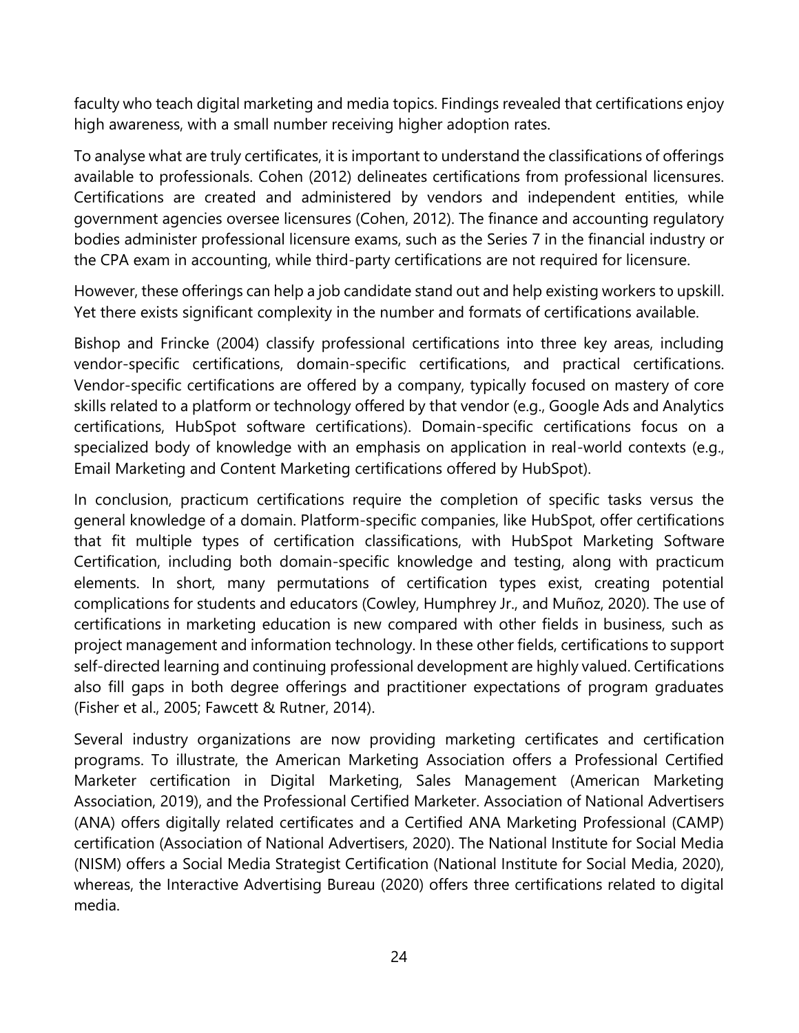faculty who teach digital marketing and media topics. Findings revealed that certifications enjoy high awareness, with a small number receiving higher adoption rates.

To analyse what are truly certificates, it is important to understand the classifications of offerings available to professionals. Cohen (2012) delineates certifications from professional licensures. Certifications are created and administered by vendors and independent entities, while government agencies oversee licensures (Cohen, 2012). The finance and accounting regulatory bodies administer professional licensure exams, such as the Series 7 in the financial industry or the CPA exam in accounting, while third-party certifications are not required for licensure.

However, these offerings can help a job candidate stand out and help existing workers to upskill. Yet there exists significant complexity in the number and formats of certifications available.

Bishop and Frincke (2004) classify professional certifications into three key areas, including vendor-specific certifications, domain-specific certifications, and practical certifications. Vendor-specific certifications are offered by a company, typically focused on mastery of core skills related to a platform or technology offered by that vendor (e.g., Google Ads and Analytics certifications, HubSpot software certifications). Domain-specific certifications focus on a specialized body of knowledge with an emphasis on application in real-world contexts (e.g., Email Marketing and Content Marketing certifications offered by HubSpot).

In conclusion, practicum certifications require the completion of specific tasks versus the general knowledge of a domain. Platform-specific companies, like HubSpot, offer certifications that fit multiple types of certification classifications, with HubSpot Marketing Software Certification, including both domain-specific knowledge and testing, along with practicum elements. In short, many permutations of certification types exist, creating potential complications for students and educators (Cowley, Humphrey Jr., and Muñoz, 2020). The use of certifications in marketing education is new compared with other fields in business, such as project management and information technology. In these other fields, certifications to support self-directed learning and continuing professional development are highly valued. Certifications also fill gaps in both degree offerings and practitioner expectations of program graduates (Fisher et al., 2005; Fawcett & Rutner, 2014).

Several industry organizations are now providing marketing certificates and certification programs. To illustrate, the American Marketing Association offers a Professional Certified Marketer certification in Digital Marketing, Sales Management (American Marketing Association, 2019), and the Professional Certified Marketer. Association of National Advertisers (ANA) offers digitally related certificates and a Certified ANA Marketing Professional (CAMP) certification (Association of National Advertisers, 2020). The National Institute for Social Media (NISM) offers a Social Media Strategist Certification (National Institute for Social Media, 2020), whereas, the Interactive Advertising Bureau (2020) offers three certifications related to digital media.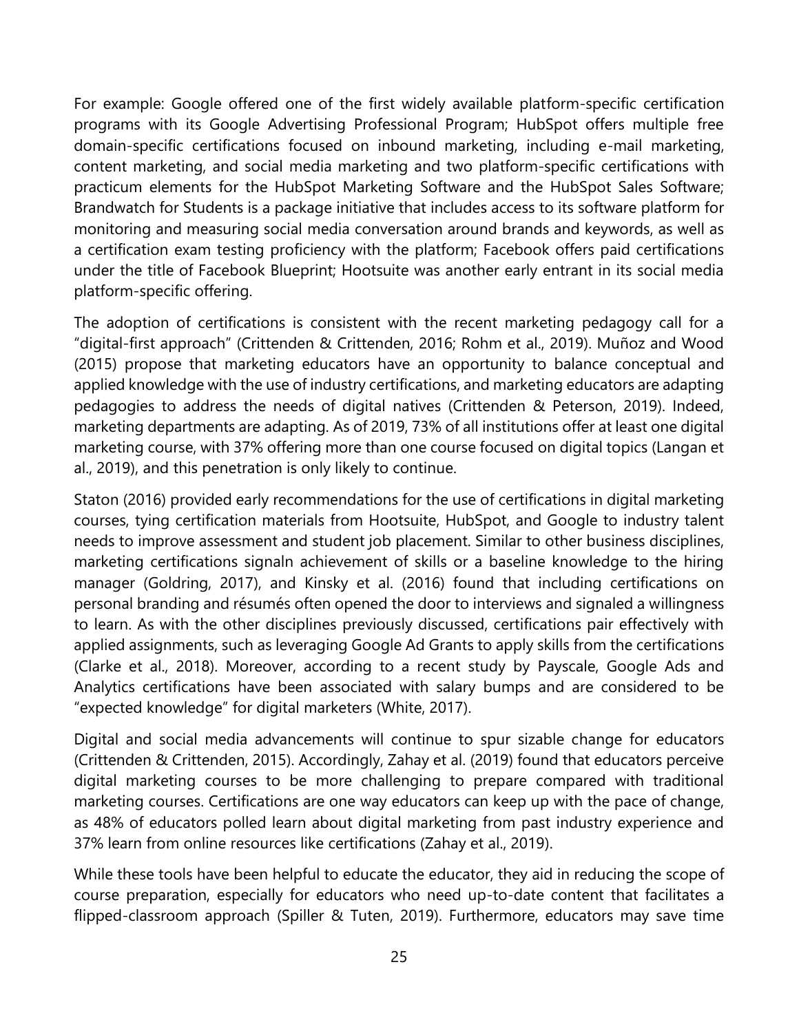For example: Google offered one of the first widely available platform-specific certification programs with its Google Advertising Professional Program; HubSpot offers multiple free domain-specific certifications focused on inbound marketing, including e-mail marketing, content marketing, and social media marketing and two platform-specific certifications with practicum elements for the HubSpot Marketing Software and the HubSpot Sales Software; Brandwatch for Students is a package initiative that includes access to its software platform for monitoring and measuring social media conversation around brands and keywords, as well as a certification exam testing proficiency with the platform; Facebook offers paid certifications under the title of Facebook Blueprint; Hootsuite was another early entrant in its social media platform-specific offering.

The adoption of certifications is consistent with the recent marketing pedagogy call for a "digital-first approach" (Crittenden & Crittenden, 2016; Rohm et al., 2019). Muñoz and Wood (2015) propose that marketing educators have an opportunity to balance conceptual and applied knowledge with the use of industry certifications, and marketing educators are adapting pedagogies to address the needs of digital natives (Crittenden & Peterson, 2019). Indeed, marketing departments are adapting. As of 2019, 73% of all institutions offer at least one digital marketing course, with 37% offering more than one course focused on digital topics (Langan et al., 2019), and this penetration is only likely to continue.

Staton (2016) provided early recommendations for the use of certifications in digital marketing courses, tying certification materials from Hootsuite, HubSpot, and Google to industry talent needs to improve assessment and student job placement. Similar to other business disciplines, marketing certifications signaln achievement of skills or a baseline knowledge to the hiring manager (Goldring, 2017), and Kinsky et al. (2016) found that including certifications on personal branding and résumés often opened the door to interviews and signaled a willingness to learn. As with the other disciplines previously discussed, certifications pair effectively with applied assignments, such as leveraging Google Ad Grants to apply skills from the certifications (Clarke et al., 2018). Moreover, according to a recent study by Payscale, Google Ads and Analytics certifications have been associated with salary bumps and are considered to be "expected knowledge" for digital marketers (White, 2017).

Digital and social media advancements will continue to spur sizable change for educators (Crittenden & Crittenden, 2015). Accordingly, Zahay et al. (2019) found that educators perceive digital marketing courses to be more challenging to prepare compared with traditional marketing courses. Certifications are one way educators can keep up with the pace of change, as 48% of educators polled learn about digital marketing from past industry experience and 37% learn from online resources like certifications (Zahay et al., 2019).

While these tools have been helpful to educate the educator, they aid in reducing the scope of course preparation, especially for educators who need up-to-date content that facilitates a flipped-classroom approach (Spiller & Tuten, 2019). Furthermore, educators may save time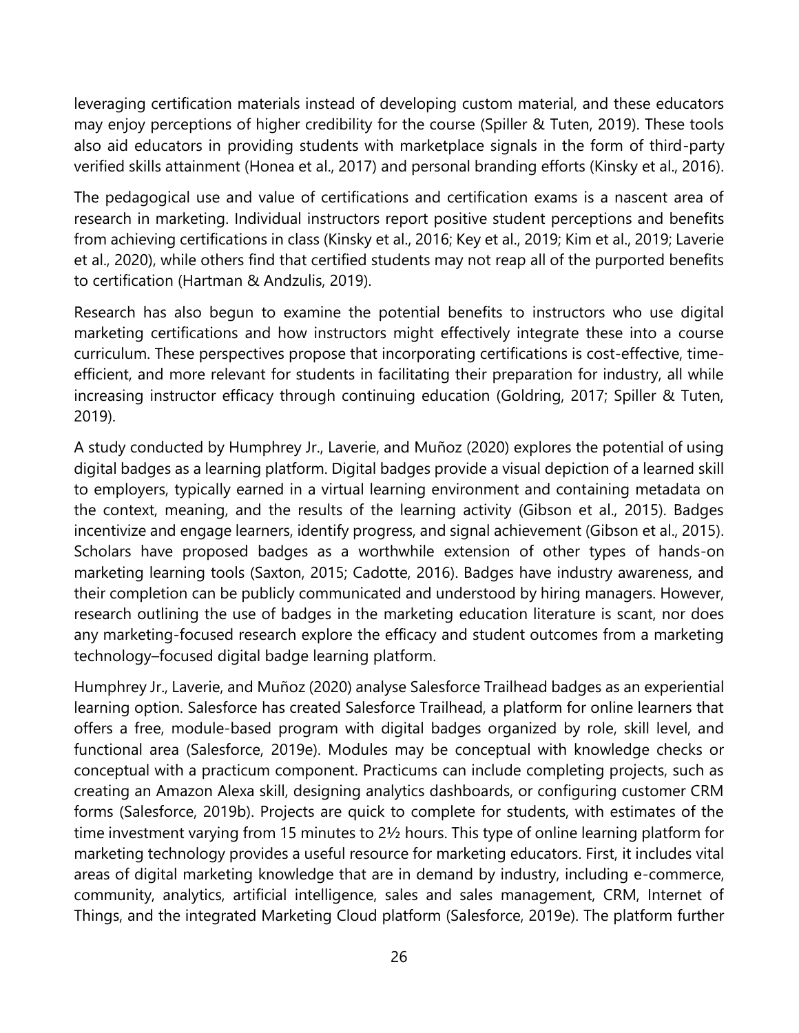leveraging certification materials instead of developing custom material, and these educators may enjoy perceptions of higher credibility for the course (Spiller & Tuten, 2019). These tools also aid educators in providing students with marketplace signals in the form of third-party verified skills attainment (Honea et al., 2017) and personal branding efforts (Kinsky et al., 2016).

The pedagogical use and value of certifications and certification exams is a nascent area of research in marketing. Individual instructors report positive student perceptions and benefits from achieving certifications in class (Kinsky et al., 2016; Key et al., 2019; Kim et al., 2019; Laverie et al., 2020), while others find that certified students may not reap all of the purported benefits to certification (Hartman & Andzulis, 2019).

Research has also begun to examine the potential benefits to instructors who use digital marketing certifications and how instructors might effectively integrate these into a course curriculum. These perspectives propose that incorporating certifications is cost-effective, timeefficient, and more relevant for students in facilitating their preparation for industry, all while increasing instructor efficacy through continuing education (Goldring, 2017; Spiller & Tuten, 2019).

A study conducted by Humphrey Jr., Laverie, and Muñoz (2020) explores the potential of using digital badges as a learning platform. Digital badges provide a visual depiction of a learned skill to employers, typically earned in a virtual learning environment and containing metadata on the context, meaning, and the results of the learning activity (Gibson et al., 2015). Badges incentivize and engage learners, identify progress, and signal achievement (Gibson et al., 2015). Scholars have proposed badges as a worthwhile extension of other types of hands-on marketing learning tools (Saxton, 2015; Cadotte, 2016). Badges have industry awareness, and their completion can be publicly communicated and understood by hiring managers. However, research outlining the use of badges in the marketing education literature is scant, nor does any marketing-focused research explore the efficacy and student outcomes from a marketing technology–focused digital badge learning platform.

Humphrey Jr., Laverie, and Muñoz (2020) analyse Salesforce Trailhead badges as an experiential learning option. Salesforce has created Salesforce Trailhead, a platform for online learners that offers a free, module-based program with digital badges organized by role, skill level, and functional area (Salesforce, 2019e). Modules may be conceptual with knowledge checks or conceptual with a practicum component. Practicums can include completing projects, such as creating an Amazon Alexa skill, designing analytics dashboards, or configuring customer CRM forms (Salesforce, 2019b). Projects are quick to complete for students, with estimates of the time investment varying from 15 minutes to 2½ hours. This type of online learning platform for marketing technology provides a useful resource for marketing educators. First, it includes vital areas of digital marketing knowledge that are in demand by industry, including e-commerce, community, analytics, artificial intelligence, sales and sales management, CRM, Internet of Things, and the integrated Marketing Cloud platform (Salesforce, 2019e). The platform further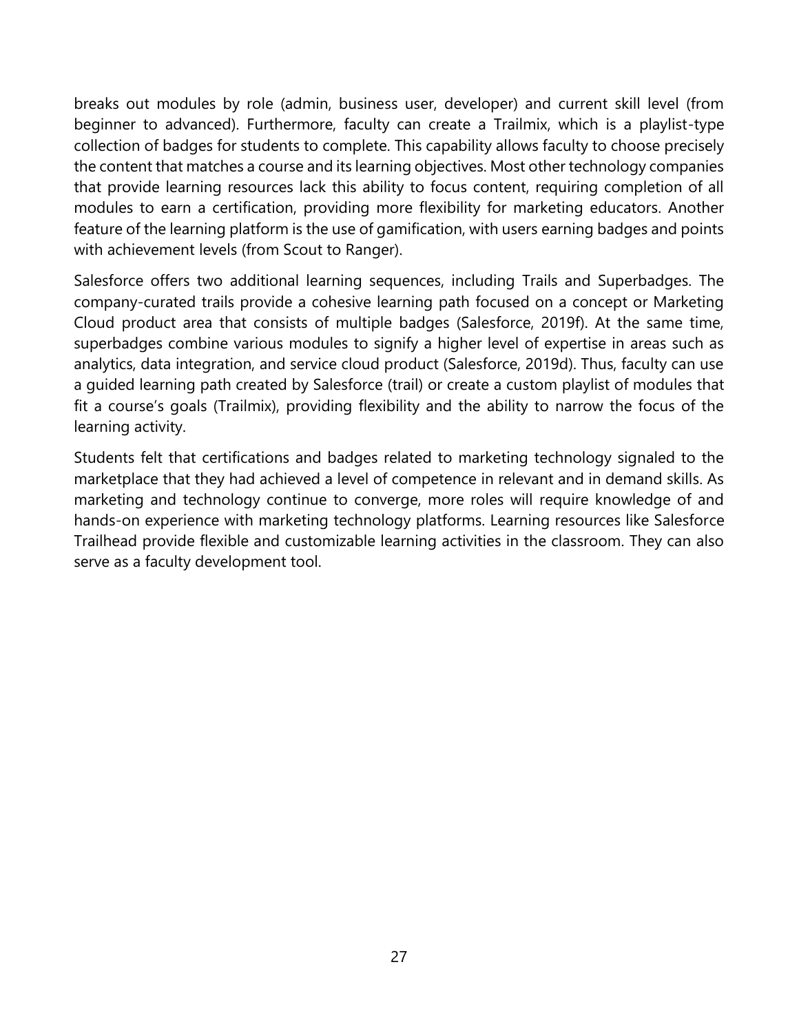breaks out modules by role (admin, business user, developer) and current skill level (from beginner to advanced). Furthermore, faculty can create a Trailmix, which is a playlist-type collection of badges for students to complete. This capability allows faculty to choose precisely the content that matches a course and its learning objectives. Most other technology companies that provide learning resources lack this ability to focus content, requiring completion of all modules to earn a certification, providing more flexibility for marketing educators. Another feature of the learning platform is the use of gamification, with users earning badges and points with achievement levels (from Scout to Ranger).

Salesforce offers two additional learning sequences, including Trails and Superbadges. The company-curated trails provide a cohesive learning path focused on a concept or Marketing Cloud product area that consists of multiple badges (Salesforce, 2019f). At the same time, superbadges combine various modules to signify a higher level of expertise in areas such as analytics, data integration, and service cloud product (Salesforce, 2019d). Thus, faculty can use a guided learning path created by Salesforce (trail) or create a custom playlist of modules that fit a course's goals (Trailmix), providing flexibility and the ability to narrow the focus of the learning activity.

Students felt that certifications and badges related to marketing technology signaled to the marketplace that they had achieved a level of competence in relevant and in demand skills. As marketing and technology continue to converge, more roles will require knowledge of and hands-on experience with marketing technology platforms. Learning resources like Salesforce Trailhead provide flexible and customizable learning activities in the classroom. They can also serve as a faculty development tool.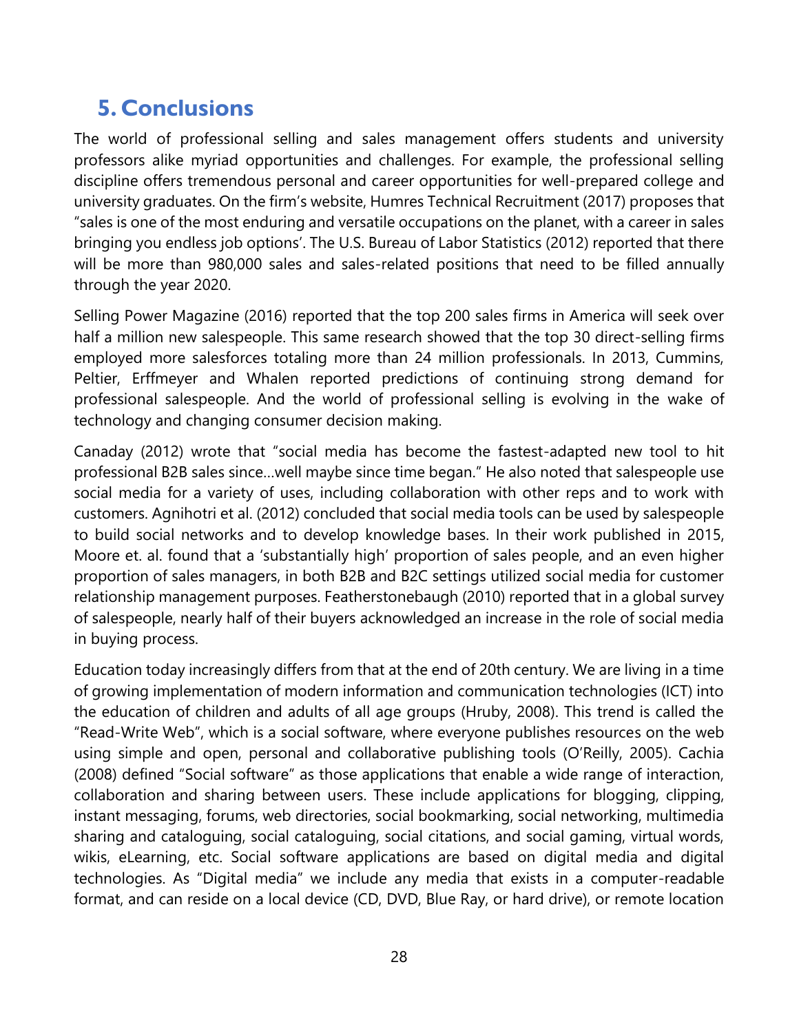## <span id="page-31-0"></span>**5. Conclusions**

The world of professional selling and sales management offers students and university professors alike myriad opportunities and challenges. For example, the professional selling discipline offers tremendous personal and career opportunities for well-prepared college and university graduates. On the firm's website, Humres Technical Recruitment (2017) proposes that "sales is one of the most enduring and versatile occupations on the planet, with a career in sales bringing you endless job options'. The U.S. Bureau of Labor Statistics (2012) reported that there will be more than 980,000 sales and sales-related positions that need to be filled annually through the year 2020.

Selling Power Magazine (2016) reported that the top 200 sales firms in America will seek over half a million new salespeople. This same research showed that the top 30 direct-selling firms employed more salesforces totaling more than 24 million professionals. In 2013, Cummins, Peltier, Erffmeyer and Whalen reported predictions of continuing strong demand for professional salespeople. And the world of professional selling is evolving in the wake of technology and changing consumer decision making.

Canaday (2012) wrote that "social media has become the fastest-adapted new tool to hit professional B2B sales since…well maybe since time began." He also noted that salespeople use social media for a variety of uses, including collaboration with other reps and to work with customers. Agnihotri et al. (2012) concluded that social media tools can be used by salespeople to build social networks and to develop knowledge bases. In their work published in 2015, Moore et. al. found that a 'substantially high' proportion of sales people, and an even higher proportion of sales managers, in both B2B and B2C settings utilized social media for customer relationship management purposes. Featherstonebaugh (2010) reported that in a global survey of salespeople, nearly half of their buyers acknowledged an increase in the role of social media in buying process.

Education today increasingly differs from that at the end of 20th century. We are living in a time of growing implementation of modern information and communication technologies (ICT) into the education of children and adults of all age groups (Hruby, 2008). This trend is called the "Read-Write Web", which is a social software, where everyone publishes resources on the web using simple and open, personal and collaborative publishing tools (O'Reilly, 2005). Cachia (2008) defined "Social software" as those applications that enable a wide range of interaction, collaboration and sharing between users. These include applications for blogging, clipping, instant messaging, forums, web directories, social bookmarking, social networking, multimedia sharing and cataloguing, social cataloguing, social citations, and social gaming, virtual words, wikis, eLearning, etc. Social software applications are based on digital media and digital technologies. As "Digital media" we include any media that exists in a computer-readable format, and can reside on a local device (CD, DVD, Blue Ray, or hard drive), or remote location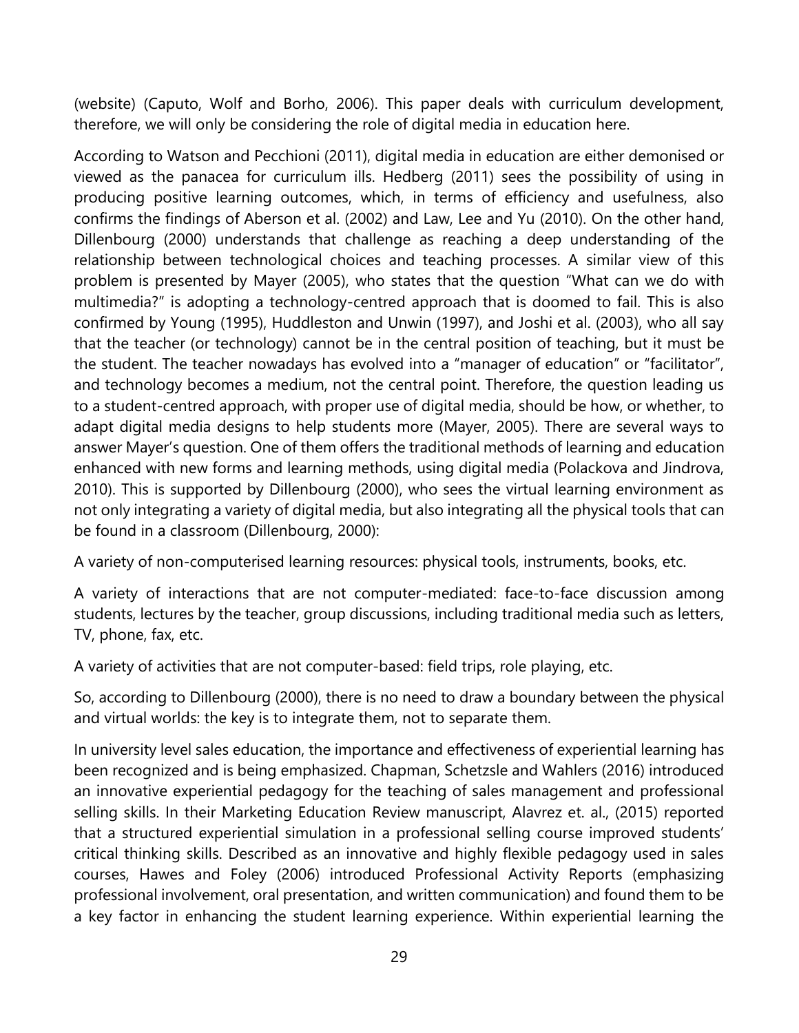(website) (Caputo, Wolf and Borho, 2006). This paper deals with curriculum development, therefore, we will only be considering the role of digital media in education here.

According to Watson and Pecchioni (2011), digital media in education are either demonised or viewed as the panacea for curriculum ills. Hedberg (2011) sees the possibility of using in producing positive learning outcomes, which, in terms of efficiency and usefulness, also confirms the findings of Aberson et al. (2002) and Law, Lee and Yu (2010). On the other hand, Dillenbourg (2000) understands that challenge as reaching a deep understanding of the relationship between technological choices and teaching processes. A similar view of this problem is presented by Mayer (2005), who states that the question "What can we do with multimedia?" is adopting a technology-centred approach that is doomed to fail. This is also confirmed by Young (1995), Huddleston and Unwin (1997), and Joshi et al. (2003), who all say that the teacher (or technology) cannot be in the central position of teaching, but it must be the student. The teacher nowadays has evolved into a "manager of education" or "facilitator", and technology becomes a medium, not the central point. Therefore, the question leading us to a student-centred approach, with proper use of digital media, should be how, or whether, to adapt digital media designs to help students more (Mayer, 2005). There are several ways to answer Mayer's question. One of them offers the traditional methods of learning and education enhanced with new forms and learning methods, using digital media (Polackova and Jindrova, 2010). This is supported by Dillenbourg (2000), who sees the virtual learning environment as not only integrating a variety of digital media, but also integrating all the physical tools that can be found in a classroom (Dillenbourg, 2000):

A variety of non-computerised learning resources: physical tools, instruments, books, etc.

A variety of interactions that are not computer-mediated: face-to-face discussion among students, lectures by the teacher, group discussions, including traditional media such as letters, TV, phone, fax, etc.

A variety of activities that are not computer-based: field trips, role playing, etc.

So, according to Dillenbourg (2000), there is no need to draw a boundary between the physical and virtual worlds: the key is to integrate them, not to separate them.

In university level sales education, the importance and effectiveness of experiential learning has been recognized and is being emphasized. Chapman, Schetzsle and Wahlers (2016) introduced an innovative experiential pedagogy for the teaching of sales management and professional selling skills. In their Marketing Education Review manuscript, Alavrez et. al., (2015) reported that a structured experiential simulation in a professional selling course improved students' critical thinking skills. Described as an innovative and highly flexible pedagogy used in sales courses, Hawes and Foley (2006) introduced Professional Activity Reports (emphasizing professional involvement, oral presentation, and written communication) and found them to be a key factor in enhancing the student learning experience. Within experiential learning the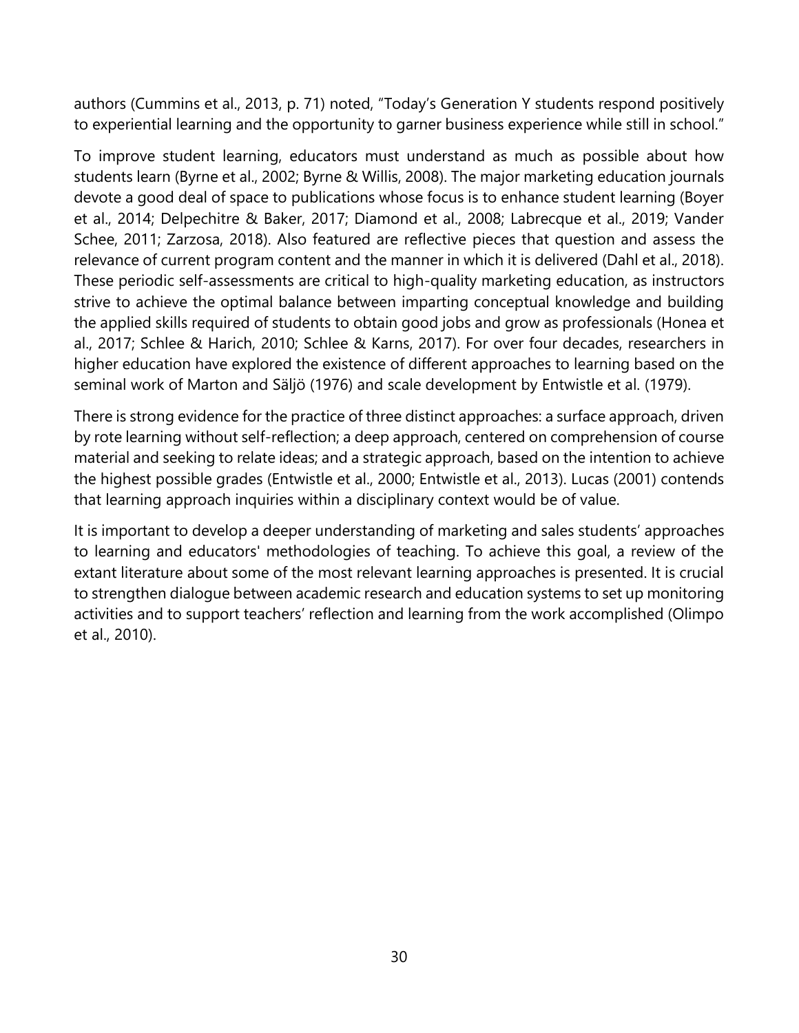authors (Cummins et al., 2013, p. 71) noted, "Today's Generation Y students respond positively to experiential learning and the opportunity to garner business experience while still in school."

To improve student learning, educators must understand as much as possible about how students learn (Byrne et al., 2002; Byrne & Willis, 2008). The major marketing education journals devote a good deal of space to publications whose focus is to enhance student learning (Boyer et al., 2014; Delpechitre & Baker, 2017; Diamond et al., 2008; Labrecque et al., 2019; Vander Schee, 2011; Zarzosa, 2018). Also featured are reflective pieces that question and assess the relevance of current program content and the manner in which it is delivered (Dahl et al., 2018). These periodic self-assessments are critical to high-quality marketing education, as instructors strive to achieve the optimal balance between imparting conceptual knowledge and building the applied skills required of students to obtain good jobs and grow as professionals (Honea et al., 2017; Schlee & Harich, 2010; Schlee & Karns, 2017). For over four decades, researchers in higher education have explored the existence of different approaches to learning based on the seminal work of Marton and Säljö (1976) and scale development by Entwistle et al. (1979).

There is strong evidence for the practice of three distinct approaches: a surface approach, driven by rote learning without self-reflection; a deep approach, centered on comprehension of course material and seeking to relate ideas; and a strategic approach, based on the intention to achieve the highest possible grades (Entwistle et al., 2000; Entwistle et al., 2013). Lucas (2001) contends that learning approach inquiries within a disciplinary context would be of value.

It is important to develop a deeper understanding of marketing and sales students' approaches to learning and educators' methodologies of teaching. To achieve this goal, a review of the extant literature about some of the most relevant learning approaches is presented. It is crucial to strengthen dialogue between academic research and education systems to set up monitoring activities and to support teachers' reflection and learning from the work accomplished (Olimpo et al., 2010).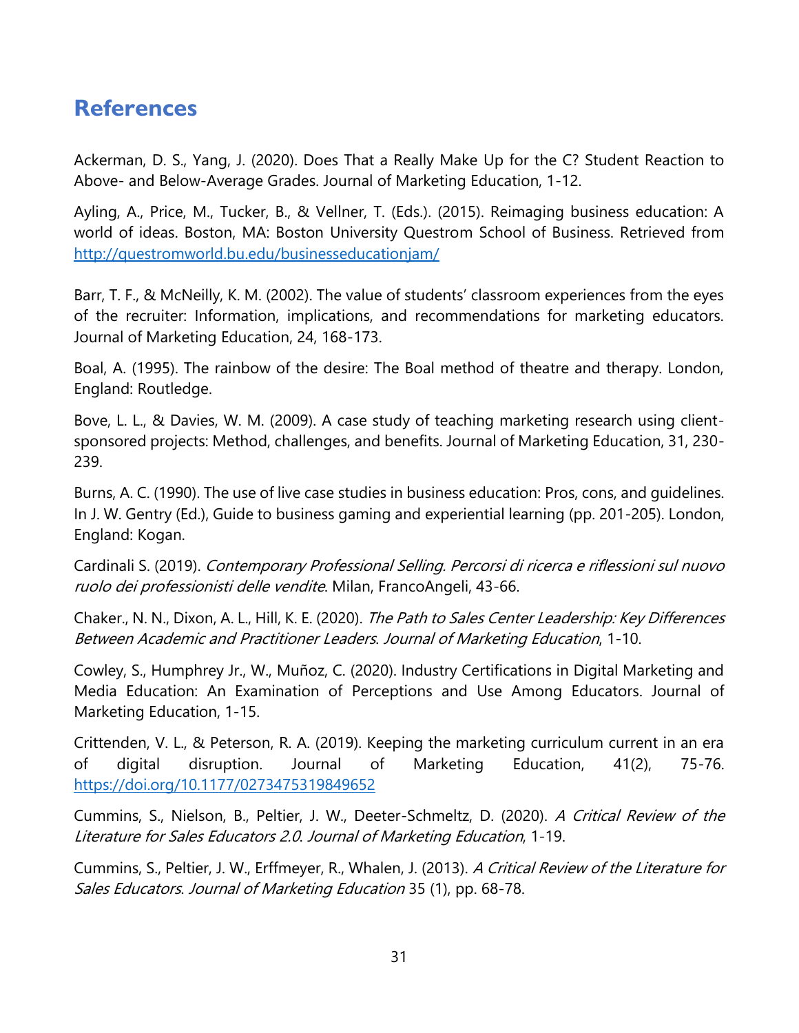### <span id="page-34-0"></span>**References**

Ackerman, D. S., Yang, J. (2020). Does That a Really Make Up for the C? Student Reaction to Above- and Below-Average Grades. Journal of Marketing Education, 1-12.

Ayling, A., Price, M., Tucker, B., & Vellner, T. (Eds.). (2015). Reimaging business education: A world of ideas. Boston, MA: Boston University Questrom School of Business. Retrieved from <http://questromworld.bu.edu/businesseducationjam/>

Barr, T. F., & McNeilly, K. M. (2002). The value of students' classroom experiences from the eyes of the recruiter: Information, implications, and recommendations for marketing educators. Journal of Marketing Education, 24, 168-173.

Boal, A. (1995). The rainbow of the desire: The Boal method of theatre and therapy. London, England: Routledge.

Bove, L. L., & Davies, W. M. (2009). A case study of teaching marketing research using clientsponsored projects: Method, challenges, and benefits. Journal of Marketing Education, 31, 230- 239.

Burns, A. C. (1990). The use of live case studies in business education: Pros, cons, and guidelines. In J. W. Gentry (Ed.), Guide to business gaming and experiential learning (pp. 201-205). London, England: Kogan.

Cardinali S. (2019). Contemporary Professional Selling. Percorsi di ricerca e riflessioni sul nuovo ruolo dei professionisti delle vendite. Milan, FrancoAngeli, 43-66.

Chaker., N. N., Dixon, A. L., Hill, K. E. (2020). The Path to Sales Center Leadership: Key Differences Between Academic and Practitioner Leaders. Journal of Marketing Education, 1-10.

Cowley, S., Humphrey Jr., W., Muñoz, C. (2020). Industry Certifications in Digital Marketing and Media Education: An Examination of Perceptions and Use Among Educators. Journal of Marketing Education, 1-15.

Crittenden, V. L., & Peterson, R. A. (2019). Keeping the marketing curriculum current in an era of digital disruption. Journal of Marketing Education, 41(2), 75-76. <https://doi.org/10.1177/0273475319849652>

Cummins, S., Nielson, B., Peltier, J. W., Deeter-Schmeltz, D. (2020). A Critical Review of the Literature for Sales Educators 2.0. Journal of Marketing Education, 1-19.

Cummins, S., Peltier, J. W., Erffmeyer, R., Whalen, J. (2013). A Critical Review of the Literature for Sales Educators. Journal of Marketing Education 35 (1), pp. 68-78.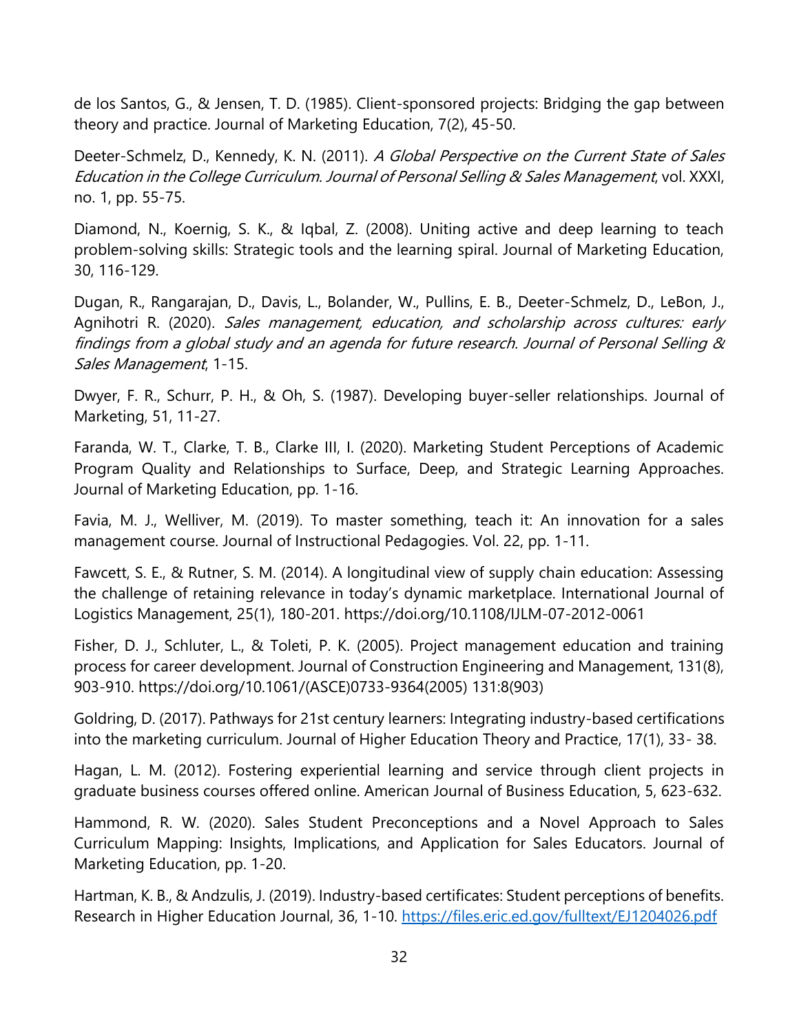de los Santos, G., & Jensen, T. D. (1985). Client-sponsored projects: Bridging the gap between theory and practice. Journal of Marketing Education, 7(2), 45-50.

Deeter-Schmelz, D., Kennedy, K. N. (2011). A Global Perspective on the Current State of Sales Education in the College Curriculum. Journal of Personal Selling & Sales Management, vol. XXXI, no. 1, pp. 55-75.

Diamond, N., Koernig, S. K., & Iqbal, Z. (2008). Uniting active and deep learning to teach problem-solving skills: Strategic tools and the learning spiral. Journal of Marketing Education, 30, 116-129.

Dugan, R., Rangarajan, D., Davis, L., Bolander, W., Pullins, E. B., Deeter-Schmelz, D., LeBon, J., Agnihotri R. (2020). Sales management, education, and scholarship across cultures: early findings from a global study and an agenda for future research. Journal of Personal Selling & Sales Management, 1-15.

Dwyer, F. R., Schurr, P. H., & Oh, S. (1987). Developing buyer-seller relationships. Journal of Marketing, 51, 11-27.

Faranda, W. T., Clarke, T. B., Clarke III, I. (2020). Marketing Student Perceptions of Academic Program Quality and Relationships to Surface, Deep, and Strategic Learning Approaches. Journal of Marketing Education, pp. 1-16.

Favia, M. J., Welliver, M. (2019). To master something, teach it: An innovation for a sales management course. Journal of Instructional Pedagogies. Vol. 22, pp. 1-11.

Fawcett, S. E., & Rutner, S. M. (2014). A longitudinal view of supply chain education: Assessing the challenge of retaining relevance in today's dynamic marketplace. International Journal of Logistics Management, 25(1), 180-201. https://doi.org/10.1108/IJLM-07-2012-0061

Fisher, D. J., Schluter, L., & Toleti, P. K. (2005). Project management education and training process for career development. Journal of Construction Engineering and Management, 131(8), 903-910. https://doi.org/10.1061/(ASCE)0733-9364(2005) 131:8(903)

Goldring, D. (2017). Pathways for 21st century learners: Integrating industry-based certifications into the marketing curriculum. Journal of Higher Education Theory and Practice, 17(1), 33- 38.

Hagan, L. M. (2012). Fostering experiential learning and service through client projects in graduate business courses offered online. American Journal of Business Education, 5, 623-632.

Hammond, R. W. (2020). Sales Student Preconceptions and a Novel Approach to Sales Curriculum Mapping: Insights, Implications, and Application for Sales Educators. Journal of Marketing Education, pp. 1-20.

Hartman, K. B., & Andzulis, J. (2019). Industry-based certificates: Student perceptions of benefits. Research in Higher Education Journal, 36, 1-10.<https://files.eric.ed.gov/fulltext/EJ1204026.pdf>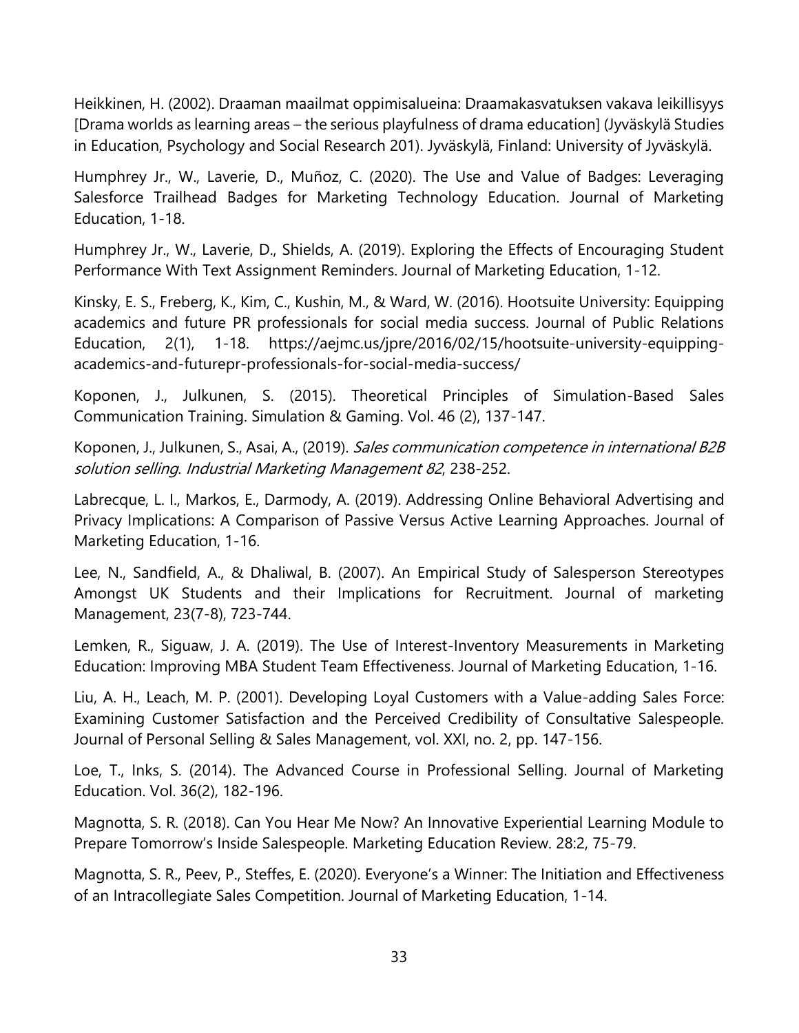Heikkinen, H. (2002). Draaman maailmat oppimisalueina: Draamakasvatuksen vakava leikillisyys [Drama worlds as learning areas – the serious playfulness of drama education] (Jyväskylä Studies in Education, Psychology and Social Research 201). Jyväskylä, Finland: University of Jyväskylä.

Humphrey Jr., W., Laverie, D., Muñoz, C. (2020). The Use and Value of Badges: Leveraging Salesforce Trailhead Badges for Marketing Technology Education. Journal of Marketing Education, 1-18.

Humphrey Jr., W., Laverie, D., Shields, A. (2019). Exploring the Effects of Encouraging Student Performance With Text Assignment Reminders. Journal of Marketing Education, 1-12.

Kinsky, E. S., Freberg, K., Kim, C., Kushin, M., & Ward, W. (2016). Hootsuite University: Equipping academics and future PR professionals for social media success. Journal of Public Relations Education, 2(1), 1-18. https://aejmc.us/jpre/2016/02/15/hootsuite-university-equippingacademics-and-futurepr-professionals-for-social-media-success/

Koponen, J., Julkunen, S. (2015). Theoretical Principles of Simulation-Based Sales Communication Training. Simulation & Gaming. Vol. 46 (2), 137-147.

Koponen, J., Julkunen, S., Asai, A., (2019). Sales communication competence in international B2B solution selling. Industrial Marketing Management 82, 238-252.

Labrecque, L. I., Markos, E., Darmody, A. (2019). Addressing Online Behavioral Advertising and Privacy Implications: A Comparison of Passive Versus Active Learning Approaches. Journal of Marketing Education, 1-16.

Lee, N., Sandfield, A., & Dhaliwal, B. (2007). An Empirical Study of Salesperson Stereotypes Amongst UK Students and their Implications for Recruitment. Journal of marketing Management, 23(7-8), 723-744.

Lemken, R., Siguaw, J. A. (2019). The Use of Interest-Inventory Measurements in Marketing Education: Improving MBA Student Team Effectiveness. Journal of Marketing Education, 1-16.

Liu, A. H., Leach, M. P. (2001). Developing Loyal Customers with a Value-adding Sales Force: Examining Customer Satisfaction and the Perceived Credibility of Consultative Salespeople. Journal of Personal Selling & Sales Management, vol. XXI, no. 2, pp. 147-156.

Loe, T., Inks, S. (2014). The Advanced Course in Professional Selling. Journal of Marketing Education. Vol. 36(2), 182-196.

Magnotta, S. R. (2018). Can You Hear Me Now? An Innovative Experiential Learning Module to Prepare Tomorrow's Inside Salespeople. Marketing Education Review. 28:2, 75-79.

Magnotta, S. R., Peev, P., Steffes, E. (2020). Everyone's a Winner: The Initiation and Effectiveness of an Intracollegiate Sales Competition. Journal of Marketing Education, 1-14.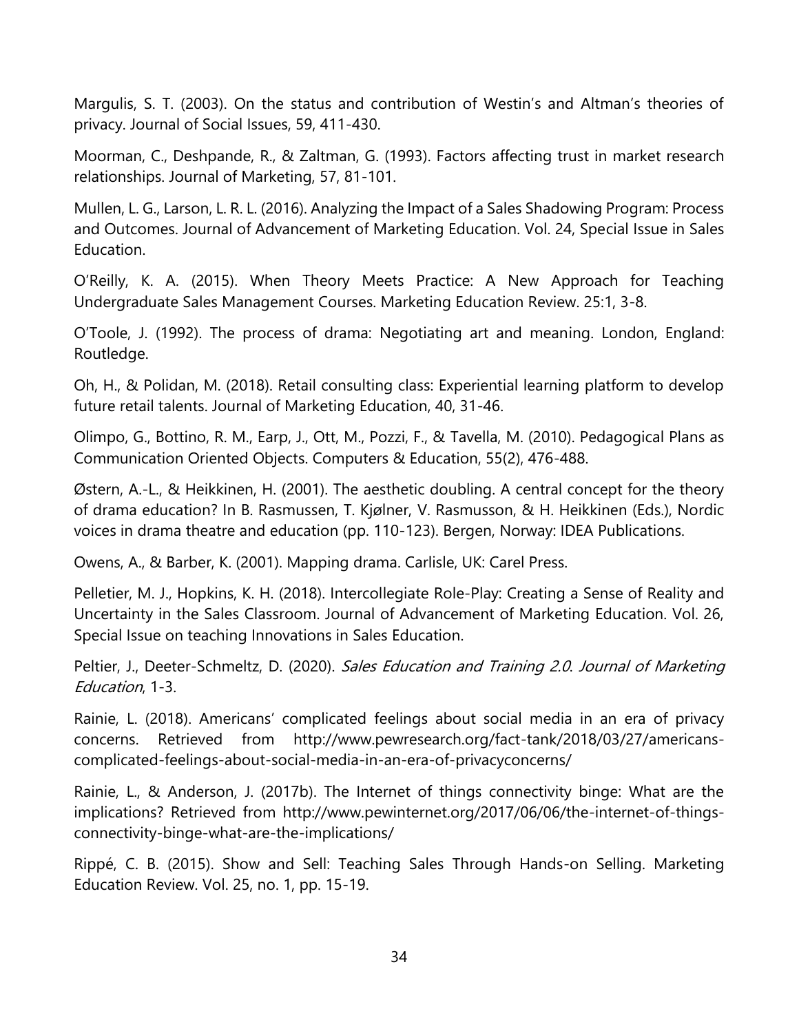Margulis, S. T. (2003). On the status and contribution of Westin's and Altman's theories of privacy. Journal of Social Issues, 59, 411-430.

Moorman, C., Deshpande, R., & Zaltman, G. (1993). Factors affecting trust in market research relationships. Journal of Marketing, 57, 81-101.

Mullen, L. G., Larson, L. R. L. (2016). Analyzing the Impact of a Sales Shadowing Program: Process and Outcomes. Journal of Advancement of Marketing Education. Vol. 24, Special Issue in Sales Education.

O'Reilly, K. A. (2015). When Theory Meets Practice: A New Approach for Teaching Undergraduate Sales Management Courses. Marketing Education Review. 25:1, 3-8.

O'Toole, J. (1992). The process of drama: Negotiating art and meaning. London, England: Routledge.

Oh, H., & Polidan, M. (2018). Retail consulting class: Experiential learning platform to develop future retail talents. Journal of Marketing Education, 40, 31-46.

Olimpo, G., Bottino, R. M., Earp, J., Ott, M., Pozzi, F., & Tavella, M. (2010). Pedagogical Plans as Communication Oriented Objects. Computers & Education, 55(2), 476-488.

Østern, A.-L., & Heikkinen, H. (2001). The aesthetic doubling. A central concept for the theory of drama education? In B. Rasmussen, T. Kjølner, V. Rasmusson, & H. Heikkinen (Eds.), Nordic voices in drama theatre and education (pp. 110-123). Bergen, Norway: IDEA Publications.

Owens, A., & Barber, K. (2001). Mapping drama. Carlisle, UK: Carel Press.

Pelletier, M. J., Hopkins, K. H. (2018). Intercollegiate Role-Play: Creating a Sense of Reality and Uncertainty in the Sales Classroom. Journal of Advancement of Marketing Education. Vol. 26, Special Issue on teaching Innovations in Sales Education.

Peltier, J., Deeter-Schmeltz, D. (2020). Sales Education and Training 2.0. Journal of Marketing Education, 1-3.

Rainie, L. (2018). Americans' complicated feelings about social media in an era of privacy concerns. Retrieved from http://www.pewresearch.org/fact-tank/2018/03/27/americanscomplicated-feelings-about-social-media-in-an-era-of-privacyconcerns/

Rainie, L., & Anderson, J. (2017b). The Internet of things connectivity binge: What are the implications? Retrieved from http://www.pewinternet.org/2017/06/06/the-internet-of-thingsconnectivity-binge-what-are-the-implications/

Rippé, C. B. (2015). Show and Sell: Teaching Sales Through Hands-on Selling. Marketing Education Review. Vol. 25, no. 1, pp. 15-19.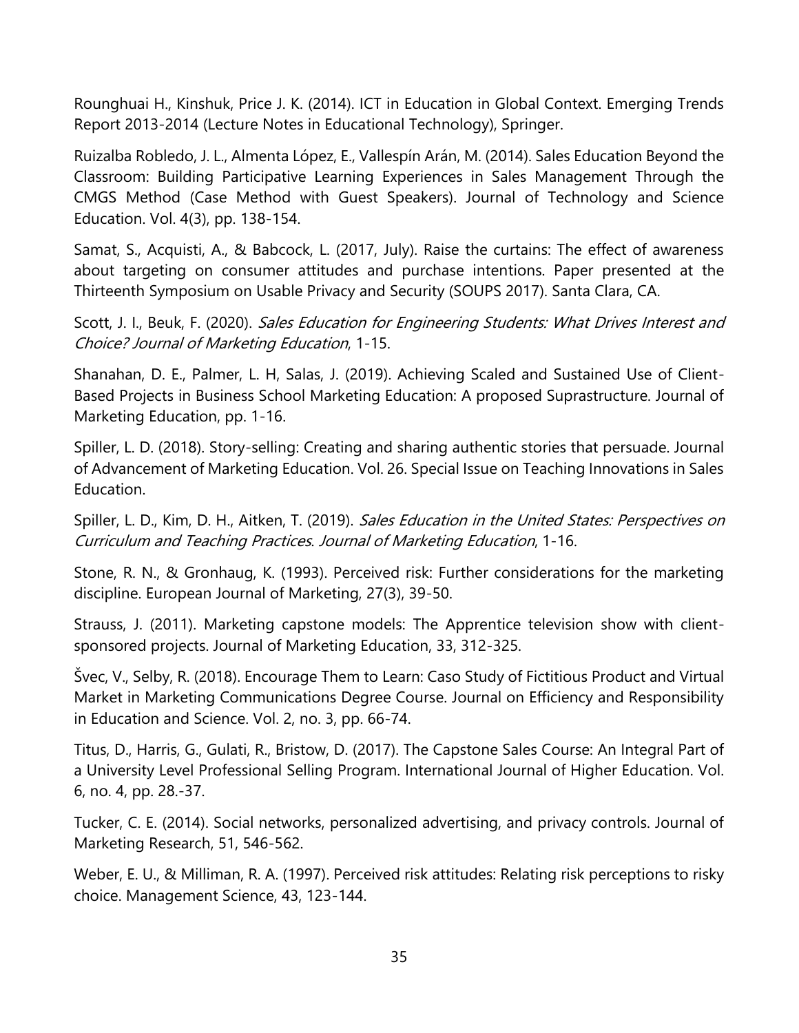Rounghuai H., Kinshuk, Price J. K. (2014). ICT in Education in Global Context. Emerging Trends Report 2013-2014 (Lecture Notes in Educational Technology), Springer.

Ruizalba Robledo, J. L., Almenta López, E., Vallespín Arán, M. (2014). Sales Education Beyond the Classroom: Building Participative Learning Experiences in Sales Management Through the CMGS Method (Case Method with Guest Speakers). Journal of Technology and Science Education. Vol. 4(3), pp. 138-154.

Samat, S., Acquisti, A., & Babcock, L. (2017, July). Raise the curtains: The effect of awareness about targeting on consumer attitudes and purchase intentions. Paper presented at the Thirteenth Symposium on Usable Privacy and Security (SOUPS 2017). Santa Clara, CA.

Scott, J. I., Beuk, F. (2020). Sales Education for Engineering Students: What Drives Interest and Choice? Journal of Marketing Education, 1-15.

Shanahan, D. E., Palmer, L. H, Salas, J. (2019). Achieving Scaled and Sustained Use of Client-Based Projects in Business School Marketing Education: A proposed Suprastructure. Journal of Marketing Education, pp. 1-16.

Spiller, L. D. (2018). Story-selling: Creating and sharing authentic stories that persuade. Journal of Advancement of Marketing Education. Vol. 26. Special Issue on Teaching Innovations in Sales Education.

Spiller, L. D., Kim, D. H., Aitken, T. (2019). Sales Education in the United States: Perspectives on Curriculum and Teaching Practices. Journal of Marketing Education, 1-16.

Stone, R. N., & Gronhaug, K. (1993). Perceived risk: Further considerations for the marketing discipline. European Journal of Marketing, 27(3), 39-50.

Strauss, J. (2011). Marketing capstone models: The Apprentice television show with clientsponsored projects. Journal of Marketing Education, 33, 312-325.

Švec, V., Selby, R. (2018). Encourage Them to Learn: Caso Study of Fictitious Product and Virtual Market in Marketing Communications Degree Course. Journal on Efficiency and Responsibility in Education and Science. Vol. 2, no. 3, pp. 66-74.

Titus, D., Harris, G., Gulati, R., Bristow, D. (2017). The Capstone Sales Course: An Integral Part of a University Level Professional Selling Program. International Journal of Higher Education. Vol. 6, no. 4, pp. 28.-37.

Tucker, C. E. (2014). Social networks, personalized advertising, and privacy controls. Journal of Marketing Research, 51, 546-562.

Weber, E. U., & Milliman, R. A. (1997). Perceived risk attitudes: Relating risk perceptions to risky choice. Management Science, 43, 123-144.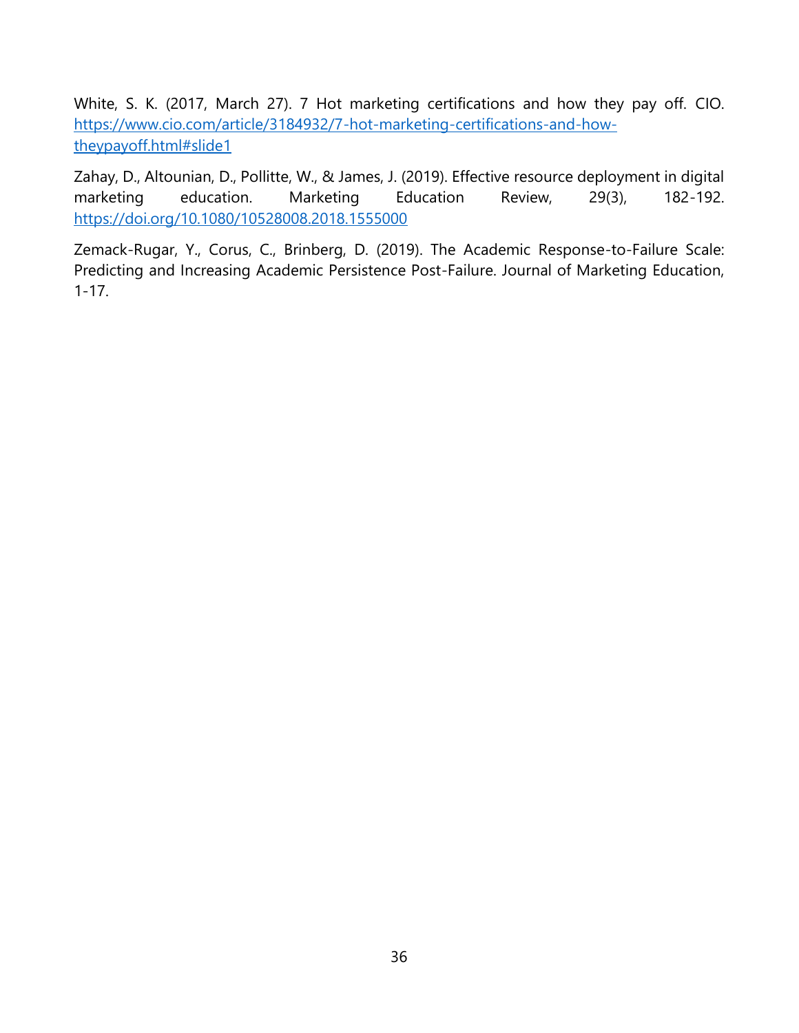White, S. K. (2017, March 27). 7 Hot marketing certifications and how they pay off. CIO. [https://www.cio.com/article/3184932/7-hot-marketing-certifications-and-how](https://www.cio.com/article/3184932/7-hot-marketing-certifications-and-how-theypayoff.html#slide1)[theypayoff.html#slide1](https://www.cio.com/article/3184932/7-hot-marketing-certifications-and-how-theypayoff.html#slide1)

Zahay, D., Altounian, D., Pollitte, W., & James, J. (2019). Effective resource deployment in digital marketing education. Marketing Education Review, 29(3), 182-192. <https://doi.org/10.1080/10528008.2018.1555000>

Zemack-Rugar, Y., Corus, C., Brinberg, D. (2019). The Academic Response-to-Failure Scale: Predicting and Increasing Academic Persistence Post-Failure. Journal of Marketing Education, 1-17.